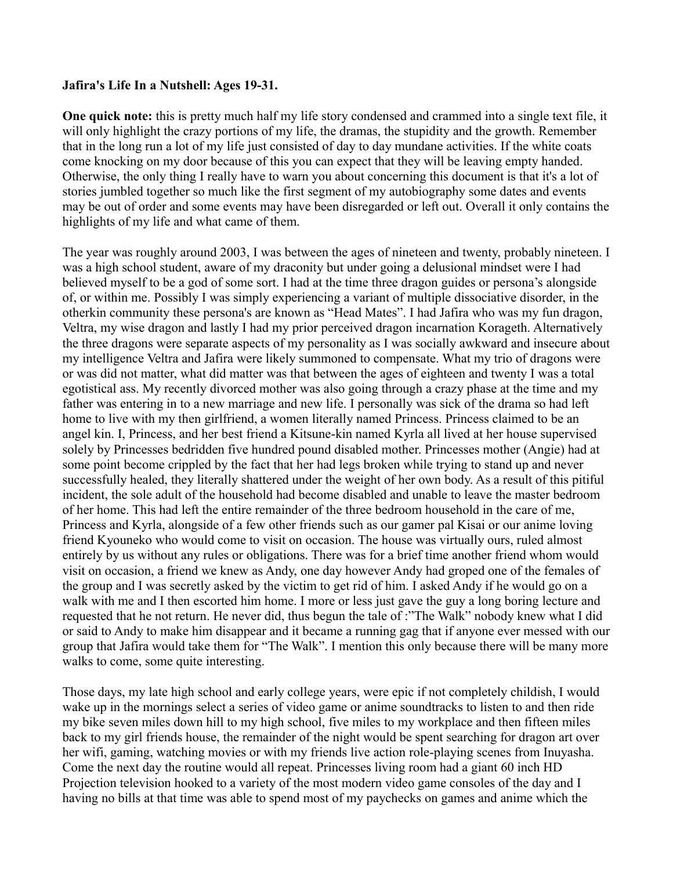## **Jafira's Life In a Nutshell: Ages 19-31.**

**One quick note:** this is pretty much half my life story condensed and crammed into a single text file, it will only highlight the crazy portions of my life, the dramas, the stupidity and the growth. Remember that in the long run a lot of my life just consisted of day to day mundane activities. If the white coats come knocking on my door because of this you can expect that they will be leaving empty handed. Otherwise, the only thing I really have to warn you about concerning this document is that it's a lot of stories jumbled together so much like the first segment of my autobiography some dates and events may be out of order and some events may have been disregarded or left out. Overall it only contains the highlights of my life and what came of them.

The year was roughly around 2003, I was between the ages of nineteen and twenty, probably nineteen. I was a high school student, aware of my draconity but under going a delusional mindset were I had believed myself to be a god of some sort. I had at the time three dragon guides or persona's alongside of, or within me. Possibly I was simply experiencing a variant of multiple dissociative disorder, in the otherkin community these persona's are known as "Head Mates". I had Jafira who was my fun dragon, Veltra, my wise dragon and lastly I had my prior perceived dragon incarnation Korageth. Alternatively the three dragons were separate aspects of my personality as I was socially awkward and insecure about my intelligence Veltra and Jafira were likely summoned to compensate. What my trio of dragons were or was did not matter, what did matter was that between the ages of eighteen and twenty I was a total egotistical ass. My recently divorced mother was also going through a crazy phase at the time and my father was entering in to a new marriage and new life. I personally was sick of the drama so had left home to live with my then girlfriend, a women literally named Princess. Princess claimed to be an angel kin. I, Princess, and her best friend a Kitsune-kin named Kyrla all lived at her house supervised solely by Princesses bedridden five hundred pound disabled mother. Princesses mother (Angie) had at some point become crippled by the fact that her had legs broken while trying to stand up and never successfully healed, they literally shattered under the weight of her own body. As a result of this pitiful incident, the sole adult of the household had become disabled and unable to leave the master bedroom of her home. This had left the entire remainder of the three bedroom household in the care of me, Princess and Kyrla, alongside of a few other friends such as our gamer pal Kisai or our anime loving friend Kyouneko who would come to visit on occasion. The house was virtually ours, ruled almost entirely by us without any rules or obligations. There was for a brief time another friend whom would visit on occasion, a friend we knew as Andy, one day however Andy had groped one of the females of the group and I was secretly asked by the victim to get rid of him. I asked Andy if he would go on a walk with me and I then escorted him home. I more or less just gave the guy a long boring lecture and requested that he not return. He never did, thus begun the tale of :"The Walk" nobody knew what I did or said to Andy to make him disappear and it became a running gag that if anyone ever messed with our group that Jafira would take them for "The Walk". I mention this only because there will be many more walks to come, some quite interesting.

Those days, my late high school and early college years, were epic if not completely childish, I would wake up in the mornings select a series of video game or anime soundtracks to listen to and then ride my bike seven miles down hill to my high school, five miles to my workplace and then fifteen miles back to my girl friends house, the remainder of the night would be spent searching for dragon art over her wifi, gaming, watching movies or with my friends live action role-playing scenes from Inuyasha. Come the next day the routine would all repeat. Princesses living room had a giant 60 inch HD Projection television hooked to a variety of the most modern video game consoles of the day and I having no bills at that time was able to spend most of my paychecks on games and anime which the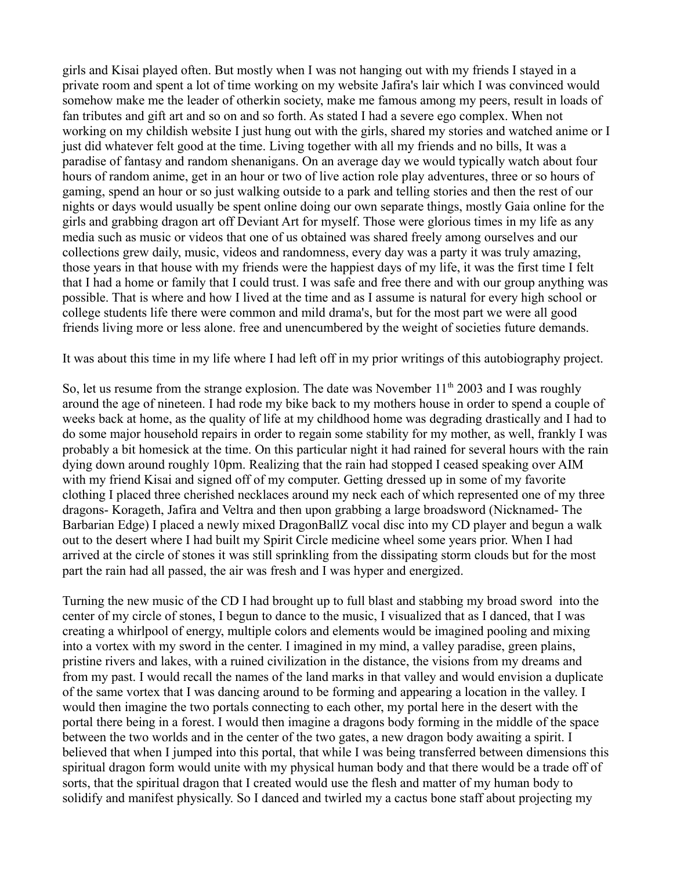girls and Kisai played often. But mostly when I was not hanging out with my friends I stayed in a private room and spent a lot of time working on my website Jafira's lair which I was convinced would somehow make me the leader of otherkin society, make me famous among my peers, result in loads of fan tributes and gift art and so on and so forth. As stated I had a severe ego complex. When not working on my childish website I just hung out with the girls, shared my stories and watched anime or I just did whatever felt good at the time. Living together with all my friends and no bills, It was a paradise of fantasy and random shenanigans. On an average day we would typically watch about four hours of random anime, get in an hour or two of live action role play adventures, three or so hours of gaming, spend an hour or so just walking outside to a park and telling stories and then the rest of our nights or days would usually be spent online doing our own separate things, mostly Gaia online for the girls and grabbing dragon art off Deviant Art for myself. Those were glorious times in my life as any media such as music or videos that one of us obtained was shared freely among ourselves and our collections grew daily, music, videos and randomness, every day was a party it was truly amazing, those years in that house with my friends were the happiest days of my life, it was the first time I felt that I had a home or family that I could trust. I was safe and free there and with our group anything was possible. That is where and how I lived at the time and as I assume is natural for every high school or college students life there were common and mild drama's, but for the most part we were all good friends living more or less alone. free and unencumbered by the weight of societies future demands.

It was about this time in my life where I had left off in my prior writings of this autobiography project.

So, let us resume from the strange explosion. The date was November  $11<sup>th</sup>$  2003 and I was roughly around the age of nineteen. I had rode my bike back to my mothers house in order to spend a couple of weeks back at home, as the quality of life at my childhood home was degrading drastically and I had to do some major household repairs in order to regain some stability for my mother, as well, frankly I was probably a bit homesick at the time. On this particular night it had rained for several hours with the rain dying down around roughly 10pm. Realizing that the rain had stopped I ceased speaking over AIM with my friend Kisai and signed off of my computer. Getting dressed up in some of my favorite clothing I placed three cherished necklaces around my neck each of which represented one of my three dragons- Korageth, Jafira and Veltra and then upon grabbing a large broadsword (Nicknamed- The Barbarian Edge) I placed a newly mixed DragonBallZ vocal disc into my CD player and begun a walk out to the desert where I had built my Spirit Circle medicine wheel some years prior. When I had arrived at the circle of stones it was still sprinkling from the dissipating storm clouds but for the most part the rain had all passed, the air was fresh and I was hyper and energized.

Turning the new music of the CD I had brought up to full blast and stabbing my broad sword into the center of my circle of stones, I begun to dance to the music, I visualized that as I danced, that I was creating a whirlpool of energy, multiple colors and elements would be imagined pooling and mixing into a vortex with my sword in the center. I imagined in my mind, a valley paradise, green plains, pristine rivers and lakes, with a ruined civilization in the distance, the visions from my dreams and from my past. I would recall the names of the land marks in that valley and would envision a duplicate of the same vortex that I was dancing around to be forming and appearing a location in the valley. I would then imagine the two portals connecting to each other, my portal here in the desert with the portal there being in a forest. I would then imagine a dragons body forming in the middle of the space between the two worlds and in the center of the two gates, a new dragon body awaiting a spirit. I believed that when I jumped into this portal, that while I was being transferred between dimensions this spiritual dragon form would unite with my physical human body and that there would be a trade off of sorts, that the spiritual dragon that I created would use the flesh and matter of my human body to solidify and manifest physically. So I danced and twirled my a cactus bone staff about projecting my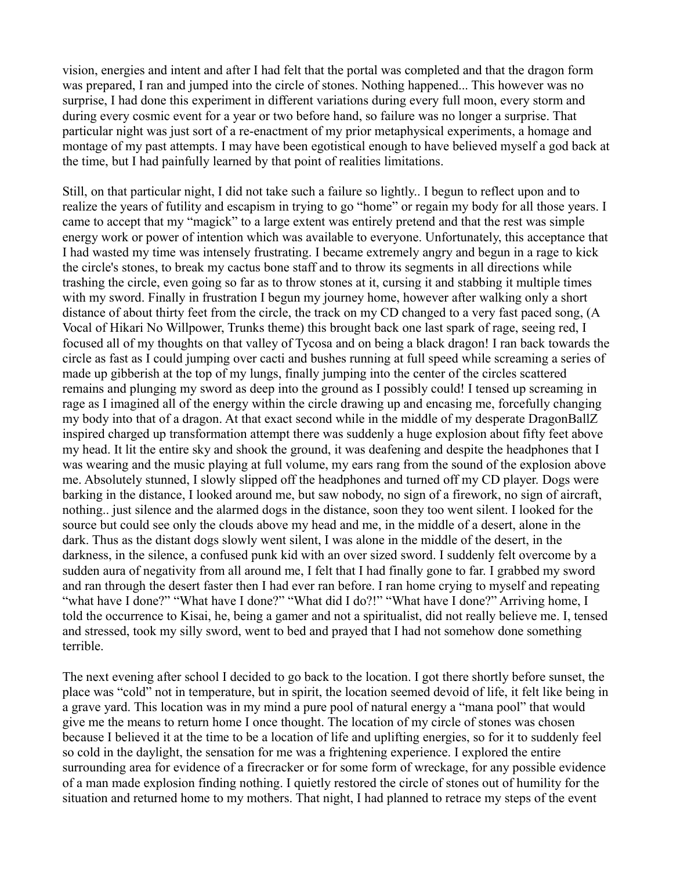vision, energies and intent and after I had felt that the portal was completed and that the dragon form was prepared, I ran and jumped into the circle of stones. Nothing happened... This however was no surprise, I had done this experiment in different variations during every full moon, every storm and during every cosmic event for a year or two before hand, so failure was no longer a surprise. That particular night was just sort of a re-enactment of my prior metaphysical experiments, a homage and montage of my past attempts. I may have been egotistical enough to have believed myself a god back at the time, but I had painfully learned by that point of realities limitations.

Still, on that particular night, I did not take such a failure so lightly.. I begun to reflect upon and to realize the years of futility and escapism in trying to go "home" or regain my body for all those years. I came to accept that my "magick" to a large extent was entirely pretend and that the rest was simple energy work or power of intention which was available to everyone. Unfortunately, this acceptance that I had wasted my time was intensely frustrating. I became extremely angry and begun in a rage to kick the circle's stones, to break my cactus bone staff and to throw its segments in all directions while trashing the circle, even going so far as to throw stones at it, cursing it and stabbing it multiple times with my sword. Finally in frustration I begun my journey home, however after walking only a short distance of about thirty feet from the circle, the track on my CD changed to a very fast paced song, (A Vocal of Hikari No Willpower, Trunks theme) this brought back one last spark of rage, seeing red, I focused all of my thoughts on that valley of Tycosa and on being a black dragon! I ran back towards the circle as fast as I could jumping over cacti and bushes running at full speed while screaming a series of made up gibberish at the top of my lungs, finally jumping into the center of the circles scattered remains and plunging my sword as deep into the ground as I possibly could! I tensed up screaming in rage as I imagined all of the energy within the circle drawing up and encasing me, forcefully changing my body into that of a dragon. At that exact second while in the middle of my desperate DragonBallZ inspired charged up transformation attempt there was suddenly a huge explosion about fifty feet above my head. It lit the entire sky and shook the ground, it was deafening and despite the headphones that I was wearing and the music playing at full volume, my ears rang from the sound of the explosion above me. Absolutely stunned, I slowly slipped off the headphones and turned off my CD player. Dogs were barking in the distance, I looked around me, but saw nobody, no sign of a firework, no sign of aircraft, nothing.. just silence and the alarmed dogs in the distance, soon they too went silent. I looked for the source but could see only the clouds above my head and me, in the middle of a desert, alone in the dark. Thus as the distant dogs slowly went silent, I was alone in the middle of the desert, in the darkness, in the silence, a confused punk kid with an over sized sword. I suddenly felt overcome by a sudden aura of negativity from all around me, I felt that I had finally gone to far. I grabbed my sword and ran through the desert faster then I had ever ran before. I ran home crying to myself and repeating "what have I done?" "What have I done?" "What did I do?!" "What have I done?" Arriving home, I told the occurrence to Kisai, he, being a gamer and not a spiritualist, did not really believe me. I, tensed and stressed, took my silly sword, went to bed and prayed that I had not somehow done something terrible.

The next evening after school I decided to go back to the location. I got there shortly before sunset, the place was "cold" not in temperature, but in spirit, the location seemed devoid of life, it felt like being in a grave yard. This location was in my mind a pure pool of natural energy a "mana pool" that would give me the means to return home I once thought. The location of my circle of stones was chosen because I believed it at the time to be a location of life and uplifting energies, so for it to suddenly feel so cold in the daylight, the sensation for me was a frightening experience. I explored the entire surrounding area for evidence of a firecracker or for some form of wreckage, for any possible evidence of a man made explosion finding nothing. I quietly restored the circle of stones out of humility for the situation and returned home to my mothers. That night, I had planned to retrace my steps of the event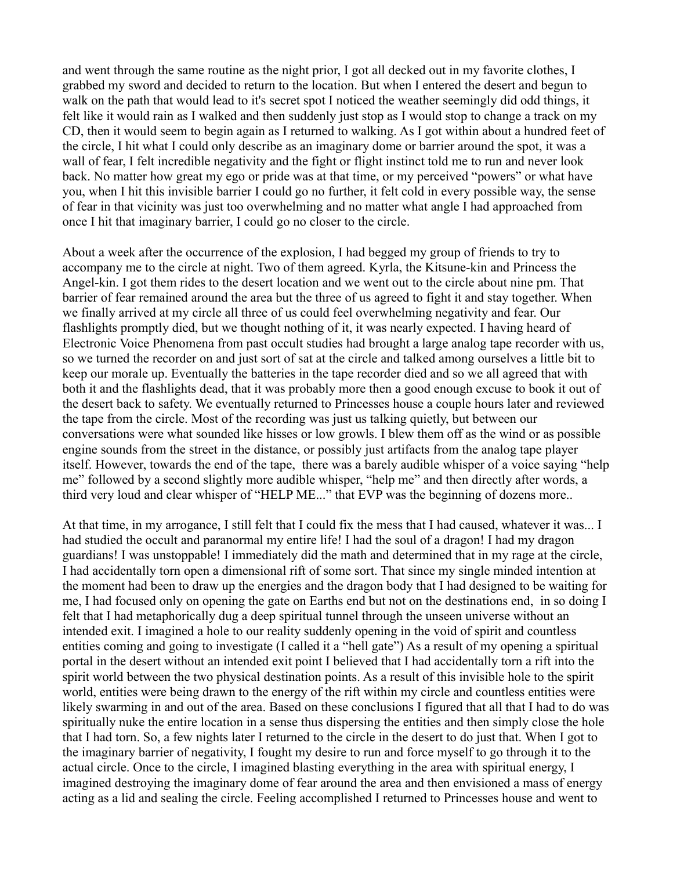and went through the same routine as the night prior, I got all decked out in my favorite clothes, I grabbed my sword and decided to return to the location. But when I entered the desert and begun to walk on the path that would lead to it's secret spot I noticed the weather seemingly did odd things, it felt like it would rain as I walked and then suddenly just stop as I would stop to change a track on my CD, then it would seem to begin again as I returned to walking. As I got within about a hundred feet of the circle, I hit what I could only describe as an imaginary dome or barrier around the spot, it was a wall of fear, I felt incredible negativity and the fight or flight instinct told me to run and never look back. No matter how great my ego or pride was at that time, or my perceived "powers" or what have you, when I hit this invisible barrier I could go no further, it felt cold in every possible way, the sense of fear in that vicinity was just too overwhelming and no matter what angle I had approached from once I hit that imaginary barrier, I could go no closer to the circle.

About a week after the occurrence of the explosion, I had begged my group of friends to try to accompany me to the circle at night. Two of them agreed. Kyrla, the Kitsune-kin and Princess the Angel-kin. I got them rides to the desert location and we went out to the circle about nine pm. That barrier of fear remained around the area but the three of us agreed to fight it and stay together. When we finally arrived at my circle all three of us could feel overwhelming negativity and fear. Our flashlights promptly died, but we thought nothing of it, it was nearly expected. I having heard of Electronic Voice Phenomena from past occult studies had brought a large analog tape recorder with us, so we turned the recorder on and just sort of sat at the circle and talked among ourselves a little bit to keep our morale up. Eventually the batteries in the tape recorder died and so we all agreed that with both it and the flashlights dead, that it was probably more then a good enough excuse to book it out of the desert back to safety. We eventually returned to Princesses house a couple hours later and reviewed the tape from the circle. Most of the recording was just us talking quietly, but between our conversations were what sounded like hisses or low growls. I blew them off as the wind or as possible engine sounds from the street in the distance, or possibly just artifacts from the analog tape player itself. However, towards the end of the tape, there was a barely audible whisper of a voice saying "help me" followed by a second slightly more audible whisper, "help me" and then directly after words, a third very loud and clear whisper of "HELP ME..." that EVP was the beginning of dozens more..

At that time, in my arrogance, I still felt that I could fix the mess that I had caused, whatever it was... I had studied the occult and paranormal my entire life! I had the soul of a dragon! I had my dragon guardians! I was unstoppable! I immediately did the math and determined that in my rage at the circle, I had accidentally torn open a dimensional rift of some sort. That since my single minded intention at the moment had been to draw up the energies and the dragon body that I had designed to be waiting for me, I had focused only on opening the gate on Earths end but not on the destinations end, in so doing I felt that I had metaphorically dug a deep spiritual tunnel through the unseen universe without an intended exit. I imagined a hole to our reality suddenly opening in the void of spirit and countless entities coming and going to investigate (I called it a "hell gate") As a result of my opening a spiritual portal in the desert without an intended exit point I believed that I had accidentally torn a rift into the spirit world between the two physical destination points. As a result of this invisible hole to the spirit world, entities were being drawn to the energy of the rift within my circle and countless entities were likely swarming in and out of the area. Based on these conclusions I figured that all that I had to do was spiritually nuke the entire location in a sense thus dispersing the entities and then simply close the hole that I had torn. So, a few nights later I returned to the circle in the desert to do just that. When I got to the imaginary barrier of negativity, I fought my desire to run and force myself to go through it to the actual circle. Once to the circle, I imagined blasting everything in the area with spiritual energy, I imagined destroying the imaginary dome of fear around the area and then envisioned a mass of energy acting as a lid and sealing the circle. Feeling accomplished I returned to Princesses house and went to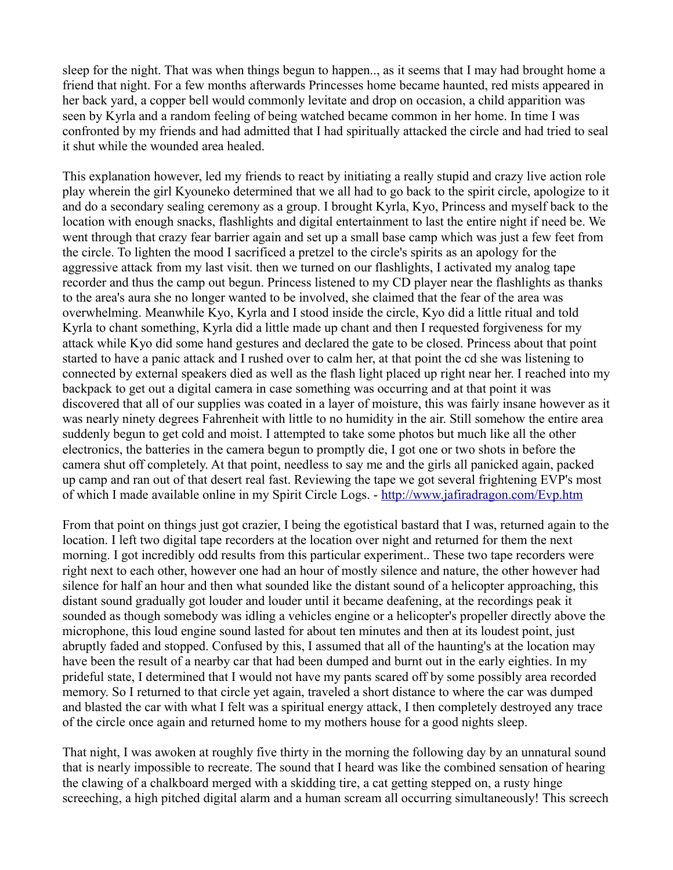sleep for the night. That was when things begun to happen.., as it seems that I may had brought home a friend that night. For a few months afterwards Princesses home became haunted, red mists appeared in her back yard, a copper bell would commonly levitate and drop on occasion, a child apparition was seen by Kyrla and a random feeling of being watched became common in her home. In time I was confronted by my friends and had admitted that I had spiritually attacked the circle and had tried to seal it shut while the wounded area healed.

This explanation however, led my friends to react by initiating a really stupid and crazy live action role play wherein the girl Kyouneko determined that we all had to go back to the spirit circle, apologize to it and do a secondary sealing ceremony as a group. I brought Kyrla, Kyo, Princess and myself back to the location with enough snacks, flashlights and digital entertainment to last the entire night if need be. We went through that crazy fear barrier again and set up a small base camp which was just a few feet from the circle. To lighten the mood I sacrificed a pretzel to the circle's spirits as an apology for the aggressive attack from my last visit. then we turned on our flashlights, I activated my analog tape recorder and thus the camp out begun. Princess listened to my CD player near the flashlights as thanks to the area's aura she no longer wanted to be involved, she claimed that the fear of the area was overwhelming. Meanwhile Kyo, Kyrla and I stood inside the circle, Kyo did a little ritual and told Kyrla to chant something, Kyrla did a little made up chant and then I requested forgiveness for my attack while Kyo did some hand gestures and declared the gate to be closed. Princess about that point started to have a panic attack and I rushed over to calm her, at that point the cd she was listening to connected by external speakers died as well as the flash light placed up right near her. I reached into my backpack to get out a digital camera in case something was occurring and at that point it was discovered that all of our supplies was coated in a layer of moisture, this was fairly insane however as it was nearly ninety degrees Fahrenheit with little to no humidity in the air. Still somehow the entire area suddenly begun to get cold and moist. I attempted to take some photos but much like all the other electronics, the batteries in the camera begun to promptly die, I got one or two shots in before the camera shut off completely. At that point, needless to say me and the girls all panicked again, packed up camp and ran out of that desert real fast. Reviewing the tape we got several frightening EVP's most of which I made available online in my Spirit Circle Logs. -<http://www.jafiradragon.com/Evp.htm>

From that point on things just got crazier, I being the egotistical bastard that I was, returned again to the location. I left two digital tape recorders at the location over night and returned for them the next morning. I got incredibly odd results from this particular experiment.. These two tape recorders were right next to each other, however one had an hour of mostly silence and nature, the other however had silence for half an hour and then what sounded like the distant sound of a helicopter approaching, this distant sound gradually got louder and louder until it became deafening, at the recordings peak it sounded as though somebody was idling a vehicles engine or a helicopter's propeller directly above the microphone, this loud engine sound lasted for about ten minutes and then at its loudest point, just abruptly faded and stopped. Confused by this, I assumed that all of the haunting's at the location may have been the result of a nearby car that had been dumped and burnt out in the early eighties. In my prideful state, I determined that I would not have my pants scared off by some possibly area recorded memory. So I returned to that circle yet again, traveled a short distance to where the car was dumped and blasted the car with what I felt was a spiritual energy attack, I then completely destroyed any trace of the circle once again and returned home to my mothers house for a good nights sleep.

That night, I was awoken at roughly five thirty in the morning the following day by an unnatural sound that is nearly impossible to recreate. The sound that I heard was like the combined sensation of hearing the clawing of a chalkboard merged with a skidding tire, a cat getting stepped on, a rusty hinge screeching, a high pitched digital alarm and a human scream all occurring simultaneously! This screech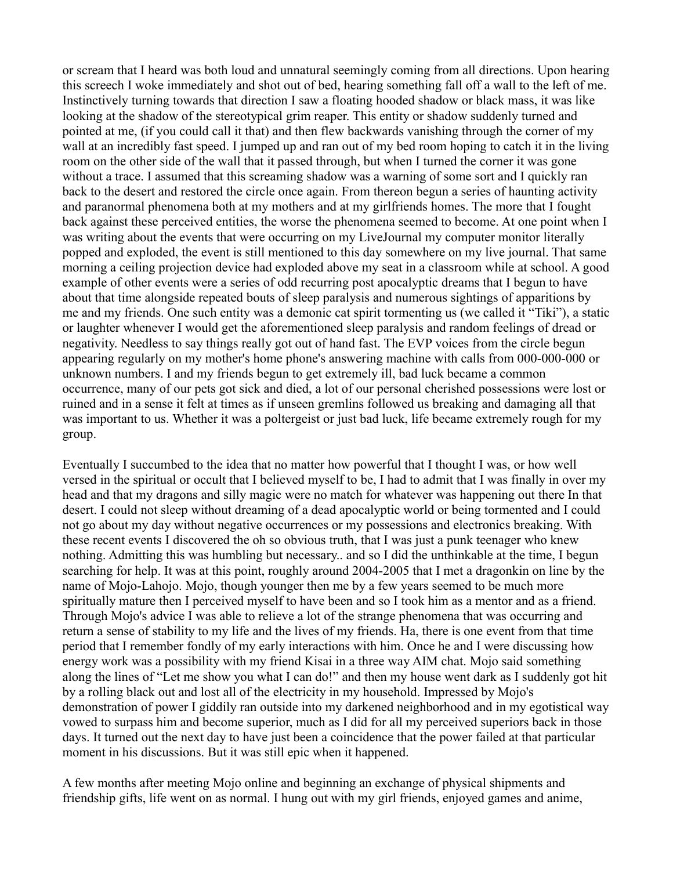or scream that I heard was both loud and unnatural seemingly coming from all directions. Upon hearing this screech I woke immediately and shot out of bed, hearing something fall off a wall to the left of me. Instinctively turning towards that direction I saw a floating hooded shadow or black mass, it was like looking at the shadow of the stereotypical grim reaper. This entity or shadow suddenly turned and pointed at me, (if you could call it that) and then flew backwards vanishing through the corner of my wall at an incredibly fast speed. I jumped up and ran out of my bed room hoping to catch it in the living room on the other side of the wall that it passed through, but when I turned the corner it was gone without a trace. I assumed that this screaming shadow was a warning of some sort and I quickly ran back to the desert and restored the circle once again. From thereon begun a series of haunting activity and paranormal phenomena both at my mothers and at my girlfriends homes. The more that I fought back against these perceived entities, the worse the phenomena seemed to become. At one point when I was writing about the events that were occurring on my LiveJournal my computer monitor literally popped and exploded, the event is still mentioned to this day somewhere on my live journal. That same morning a ceiling projection device had exploded above my seat in a classroom while at school. A good example of other events were a series of odd recurring post apocalyptic dreams that I begun to have about that time alongside repeated bouts of sleep paralysis and numerous sightings of apparitions by me and my friends. One such entity was a demonic cat spirit tormenting us (we called it "Tiki"), a static or laughter whenever I would get the aforementioned sleep paralysis and random feelings of dread or negativity. Needless to say things really got out of hand fast. The EVP voices from the circle begun appearing regularly on my mother's home phone's answering machine with calls from 000-000-000 or unknown numbers. I and my friends begun to get extremely ill, bad luck became a common occurrence, many of our pets got sick and died, a lot of our personal cherished possessions were lost or ruined and in a sense it felt at times as if unseen gremlins followed us breaking and damaging all that was important to us. Whether it was a poltergeist or just bad luck, life became extremely rough for my group.

Eventually I succumbed to the idea that no matter how powerful that I thought I was, or how well versed in the spiritual or occult that I believed myself to be, I had to admit that I was finally in over my head and that my dragons and silly magic were no match for whatever was happening out there In that desert. I could not sleep without dreaming of a dead apocalyptic world or being tormented and I could not go about my day without negative occurrences or my possessions and electronics breaking. With these recent events I discovered the oh so obvious truth, that I was just a punk teenager who knew nothing. Admitting this was humbling but necessary.. and so I did the unthinkable at the time, I begun searching for help. It was at this point, roughly around 2004-2005 that I met a dragonkin on line by the name of Mojo-Lahojo. Mojo, though younger then me by a few years seemed to be much more spiritually mature then I perceived myself to have been and so I took him as a mentor and as a friend. Through Mojo's advice I was able to relieve a lot of the strange phenomena that was occurring and return a sense of stability to my life and the lives of my friends. Ha, there is one event from that time period that I remember fondly of my early interactions with him. Once he and I were discussing how energy work was a possibility with my friend Kisai in a three way AIM chat. Mojo said something along the lines of "Let me show you what I can do!" and then my house went dark as I suddenly got hit by a rolling black out and lost all of the electricity in my household. Impressed by Mojo's demonstration of power I giddily ran outside into my darkened neighborhood and in my egotistical way vowed to surpass him and become superior, much as I did for all my perceived superiors back in those days. It turned out the next day to have just been a coincidence that the power failed at that particular moment in his discussions. But it was still epic when it happened.

A few months after meeting Mojo online and beginning an exchange of physical shipments and friendship gifts, life went on as normal. I hung out with my girl friends, enjoyed games and anime,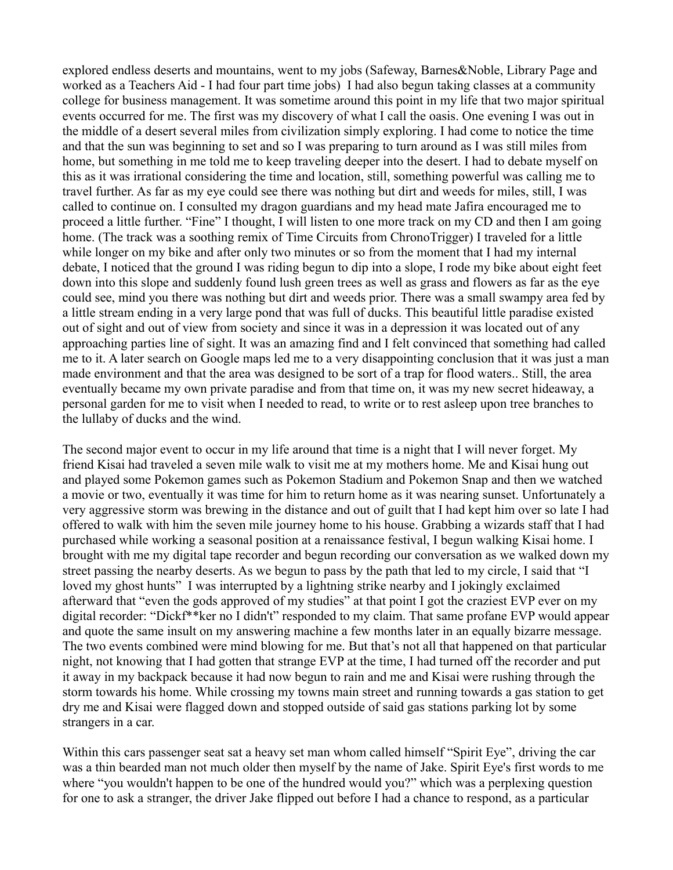explored endless deserts and mountains, went to my jobs (Safeway, Barnes&Noble, Library Page and worked as a Teachers Aid - I had four part time jobs) I had also begun taking classes at a community college for business management. It was sometime around this point in my life that two major spiritual events occurred for me. The first was my discovery of what I call the oasis. One evening I was out in the middle of a desert several miles from civilization simply exploring. I had come to notice the time and that the sun was beginning to set and so I was preparing to turn around as I was still miles from home, but something in me told me to keep traveling deeper into the desert. I had to debate myself on this as it was irrational considering the time and location, still, something powerful was calling me to travel further. As far as my eye could see there was nothing but dirt and weeds for miles, still, I was called to continue on. I consulted my dragon guardians and my head mate Jafira encouraged me to proceed a little further. "Fine" I thought, I will listen to one more track on my CD and then I am going home. (The track was a soothing remix of Time Circuits from ChronoTrigger) I traveled for a little while longer on my bike and after only two minutes or so from the moment that I had my internal debate, I noticed that the ground I was riding begun to dip into a slope, I rode my bike about eight feet down into this slope and suddenly found lush green trees as well as grass and flowers as far as the eye could see, mind you there was nothing but dirt and weeds prior. There was a small swampy area fed by a little stream ending in a very large pond that was full of ducks. This beautiful little paradise existed out of sight and out of view from society and since it was in a depression it was located out of any approaching parties line of sight. It was an amazing find and I felt convinced that something had called me to it. A later search on Google maps led me to a very disappointing conclusion that it was just a man made environment and that the area was designed to be sort of a trap for flood waters.. Still, the area eventually became my own private paradise and from that time on, it was my new secret hideaway, a personal garden for me to visit when I needed to read, to write or to rest asleep upon tree branches to the lullaby of ducks and the wind.

The second major event to occur in my life around that time is a night that I will never forget. My friend Kisai had traveled a seven mile walk to visit me at my mothers home. Me and Kisai hung out and played some Pokemon games such as Pokemon Stadium and Pokemon Snap and then we watched a movie or two, eventually it was time for him to return home as it was nearing sunset. Unfortunately a very aggressive storm was brewing in the distance and out of guilt that I had kept him over so late I had offered to walk with him the seven mile journey home to his house. Grabbing a wizards staff that I had purchased while working a seasonal position at a renaissance festival, I begun walking Kisai home. I brought with me my digital tape recorder and begun recording our conversation as we walked down my street passing the nearby deserts. As we begun to pass by the path that led to my circle, I said that "I loved my ghost hunts" I was interrupted by a lightning strike nearby and I jokingly exclaimed afterward that "even the gods approved of my studies" at that point I got the craziest EVP ever on my digital recorder: "Dickf\*\*ker no I didn't" responded to my claim. That same profane EVP would appear and quote the same insult on my answering machine a few months later in an equally bizarre message. The two events combined were mind blowing for me. But that's not all that happened on that particular night, not knowing that I had gotten that strange EVP at the time, I had turned off the recorder and put it away in my backpack because it had now begun to rain and me and Kisai were rushing through the storm towards his home. While crossing my towns main street and running towards a gas station to get dry me and Kisai were flagged down and stopped outside of said gas stations parking lot by some strangers in a car.

Within this cars passenger seat sat a heavy set man whom called himself "Spirit Eye", driving the car was a thin bearded man not much older then myself by the name of Jake. Spirit Eye's first words to me where "you wouldn't happen to be one of the hundred would you?" which was a perplexing question for one to ask a stranger, the driver Jake flipped out before I had a chance to respond, as a particular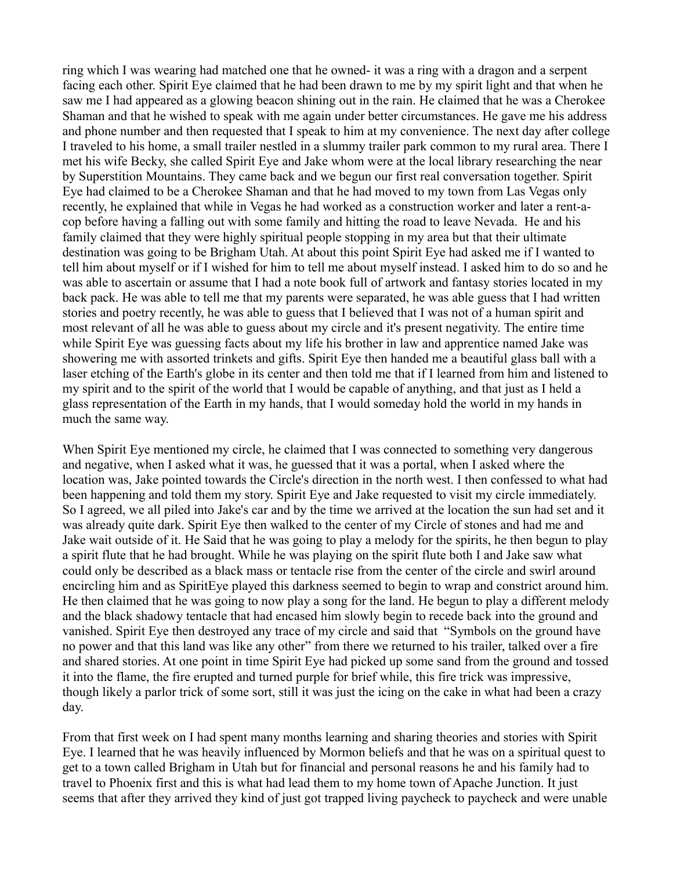ring which I was wearing had matched one that he owned- it was a ring with a dragon and a serpent facing each other. Spirit Eye claimed that he had been drawn to me by my spirit light and that when he saw me I had appeared as a glowing beacon shining out in the rain. He claimed that he was a Cherokee Shaman and that he wished to speak with me again under better circumstances. He gave me his address and phone number and then requested that I speak to him at my convenience. The next day after college I traveled to his home, a small trailer nestled in a slummy trailer park common to my rural area. There I met his wife Becky, she called Spirit Eye and Jake whom were at the local library researching the near by Superstition Mountains. They came back and we begun our first real conversation together. Spirit Eye had claimed to be a Cherokee Shaman and that he had moved to my town from Las Vegas only recently, he explained that while in Vegas he had worked as a construction worker and later a rent-acop before having a falling out with some family and hitting the road to leave Nevada. He and his family claimed that they were highly spiritual people stopping in my area but that their ultimate destination was going to be Brigham Utah. At about this point Spirit Eye had asked me if I wanted to tell him about myself or if I wished for him to tell me about myself instead. I asked him to do so and he was able to ascertain or assume that I had a note book full of artwork and fantasy stories located in my back pack. He was able to tell me that my parents were separated, he was able guess that I had written stories and poetry recently, he was able to guess that I believed that I was not of a human spirit and most relevant of all he was able to guess about my circle and it's present negativity. The entire time while Spirit Eye was guessing facts about my life his brother in law and apprentice named Jake was showering me with assorted trinkets and gifts. Spirit Eye then handed me a beautiful glass ball with a laser etching of the Earth's globe in its center and then told me that if I learned from him and listened to my spirit and to the spirit of the world that I would be capable of anything, and that just as I held a glass representation of the Earth in my hands, that I would someday hold the world in my hands in much the same way.

When Spirit Eye mentioned my circle, he claimed that I was connected to something very dangerous and negative, when I asked what it was, he guessed that it was a portal, when I asked where the location was, Jake pointed towards the Circle's direction in the north west. I then confessed to what had been happening and told them my story. Spirit Eye and Jake requested to visit my circle immediately. So I agreed, we all piled into Jake's car and by the time we arrived at the location the sun had set and it was already quite dark. Spirit Eye then walked to the center of my Circle of stones and had me and Jake wait outside of it. He Said that he was going to play a melody for the spirits, he then begun to play a spirit flute that he had brought. While he was playing on the spirit flute both I and Jake saw what could only be described as a black mass or tentacle rise from the center of the circle and swirl around encircling him and as SpiritEye played this darkness seemed to begin to wrap and constrict around him. He then claimed that he was going to now play a song for the land. He begun to play a different melody and the black shadowy tentacle that had encased him slowly begin to recede back into the ground and vanished. Spirit Eye then destroyed any trace of my circle and said that "Symbols on the ground have no power and that this land was like any other" from there we returned to his trailer, talked over a fire and shared stories. At one point in time Spirit Eye had picked up some sand from the ground and tossed it into the flame, the fire erupted and turned purple for brief while, this fire trick was impressive, though likely a parlor trick of some sort, still it was just the icing on the cake in what had been a crazy day.

From that first week on I had spent many months learning and sharing theories and stories with Spirit Eye. I learned that he was heavily influenced by Mormon beliefs and that he was on a spiritual quest to get to a town called Brigham in Utah but for financial and personal reasons he and his family had to travel to Phoenix first and this is what had lead them to my home town of Apache Junction. It just seems that after they arrived they kind of just got trapped living paycheck to paycheck and were unable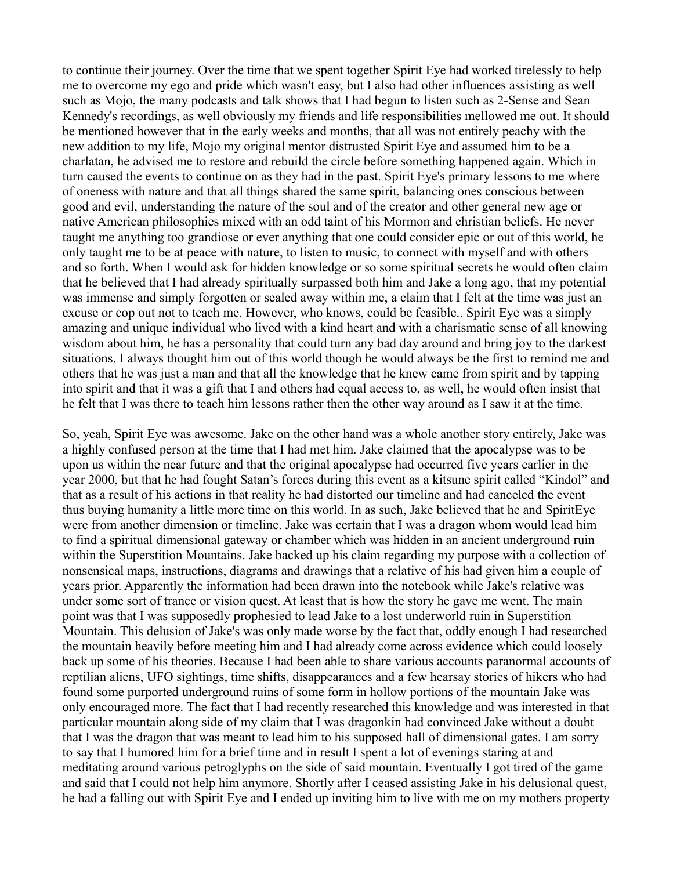to continue their journey. Over the time that we spent together Spirit Eye had worked tirelessly to help me to overcome my ego and pride which wasn't easy, but I also had other influences assisting as well such as Mojo, the many podcasts and talk shows that I had begun to listen such as 2-Sense and Sean Kennedy's recordings, as well obviously my friends and life responsibilities mellowed me out. It should be mentioned however that in the early weeks and months, that all was not entirely peachy with the new addition to my life, Mojo my original mentor distrusted Spirit Eye and assumed him to be a charlatan, he advised me to restore and rebuild the circle before something happened again. Which in turn caused the events to continue on as they had in the past. Spirit Eye's primary lessons to me where of oneness with nature and that all things shared the same spirit, balancing ones conscious between good and evil, understanding the nature of the soul and of the creator and other general new age or native American philosophies mixed with an odd taint of his Mormon and christian beliefs. He never taught me anything too grandiose or ever anything that one could consider epic or out of this world, he only taught me to be at peace with nature, to listen to music, to connect with myself and with others and so forth. When I would ask for hidden knowledge or so some spiritual secrets he would often claim that he believed that I had already spiritually surpassed both him and Jake a long ago, that my potential was immense and simply forgotten or sealed away within me, a claim that I felt at the time was just an excuse or cop out not to teach me. However, who knows, could be feasible.. Spirit Eye was a simply amazing and unique individual who lived with a kind heart and with a charismatic sense of all knowing wisdom about him, he has a personality that could turn any bad day around and bring joy to the darkest situations. I always thought him out of this world though he would always be the first to remind me and others that he was just a man and that all the knowledge that he knew came from spirit and by tapping into spirit and that it was a gift that I and others had equal access to, as well, he would often insist that he felt that I was there to teach him lessons rather then the other way around as I saw it at the time.

So, yeah, Spirit Eye was awesome. Jake on the other hand was a whole another story entirely, Jake was a highly confused person at the time that I had met him. Jake claimed that the apocalypse was to be upon us within the near future and that the original apocalypse had occurred five years earlier in the year 2000, but that he had fought Satan's forces during this event as a kitsune spirit called "Kindol" and that as a result of his actions in that reality he had distorted our timeline and had canceled the event thus buying humanity a little more time on this world. In as such, Jake believed that he and SpiritEye were from another dimension or timeline. Jake was certain that I was a dragon whom would lead him to find a spiritual dimensional gateway or chamber which was hidden in an ancient underground ruin within the Superstition Mountains. Jake backed up his claim regarding my purpose with a collection of nonsensical maps, instructions, diagrams and drawings that a relative of his had given him a couple of years prior. Apparently the information had been drawn into the notebook while Jake's relative was under some sort of trance or vision quest. At least that is how the story he gave me went. The main point was that I was supposedly prophesied to lead Jake to a lost underworld ruin in Superstition Mountain. This delusion of Jake's was only made worse by the fact that, oddly enough I had researched the mountain heavily before meeting him and I had already come across evidence which could loosely back up some of his theories. Because I had been able to share various accounts paranormal accounts of reptilian aliens, UFO sightings, time shifts, disappearances and a few hearsay stories of hikers who had found some purported underground ruins of some form in hollow portions of the mountain Jake was only encouraged more. The fact that I had recently researched this knowledge and was interested in that particular mountain along side of my claim that I was dragonkin had convinced Jake without a doubt that I was the dragon that was meant to lead him to his supposed hall of dimensional gates. I am sorry to say that I humored him for a brief time and in result I spent a lot of evenings staring at and meditating around various petroglyphs on the side of said mountain. Eventually I got tired of the game and said that I could not help him anymore. Shortly after I ceased assisting Jake in his delusional quest, he had a falling out with Spirit Eye and I ended up inviting him to live with me on my mothers property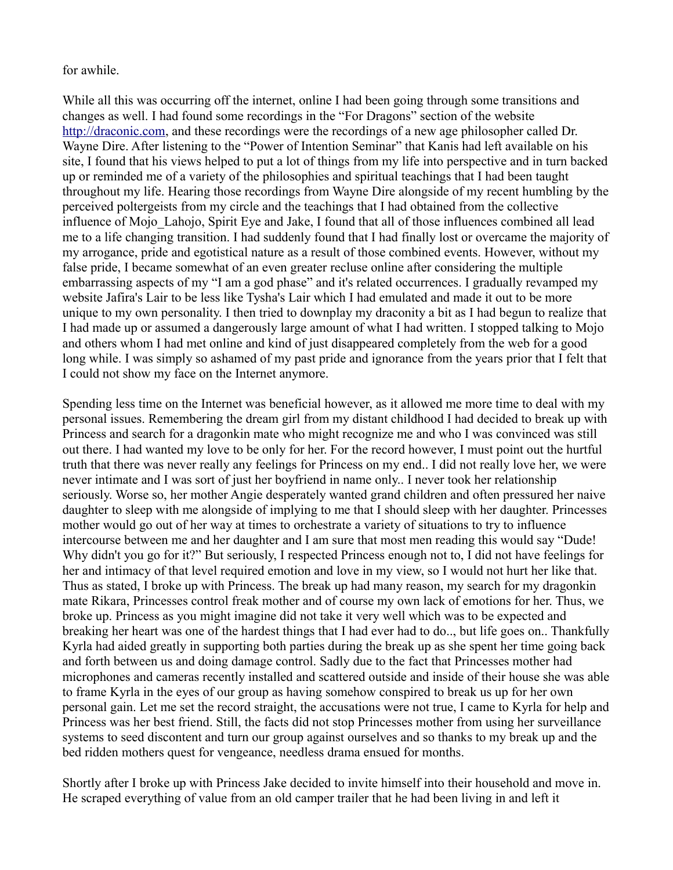for awhile.

While all this was occurring off the internet, online I had been going through some transitions and changes as well. I had found some recordings in the "For Dragons" section of the website [http://draconic.com,](http://draconic.com/) and these recordings were the recordings of a new age philosopher called Dr. Wayne Dire. After listening to the "Power of Intention Seminar" that Kanis had left available on his site, I found that his views helped to put a lot of things from my life into perspective and in turn backed up or reminded me of a variety of the philosophies and spiritual teachings that I had been taught throughout my life. Hearing those recordings from Wayne Dire alongside of my recent humbling by the perceived poltergeists from my circle and the teachings that I had obtained from the collective influence of Mojo Lahojo, Spirit Eye and Jake, I found that all of those influences combined all lead me to a life changing transition. I had suddenly found that I had finally lost or overcame the majority of my arrogance, pride and egotistical nature as a result of those combined events. However, without my false pride, I became somewhat of an even greater recluse online after considering the multiple embarrassing aspects of my "I am a god phase" and it's related occurrences. I gradually revamped my website Jafira's Lair to be less like Tysha's Lair which I had emulated and made it out to be more unique to my own personality. I then tried to downplay my draconity a bit as I had begun to realize that I had made up or assumed a dangerously large amount of what I had written. I stopped talking to Mojo and others whom I had met online and kind of just disappeared completely from the web for a good long while. I was simply so ashamed of my past pride and ignorance from the years prior that I felt that I could not show my face on the Internet anymore.

Spending less time on the Internet was beneficial however, as it allowed me more time to deal with my personal issues. Remembering the dream girl from my distant childhood I had decided to break up with Princess and search for a dragonkin mate who might recognize me and who I was convinced was still out there. I had wanted my love to be only for her. For the record however, I must point out the hurtful truth that there was never really any feelings for Princess on my end.. I did not really love her, we were never intimate and I was sort of just her boyfriend in name only.. I never took her relationship seriously. Worse so, her mother Angie desperately wanted grand children and often pressured her naive daughter to sleep with me alongside of implying to me that I should sleep with her daughter. Princesses mother would go out of her way at times to orchestrate a variety of situations to try to influence intercourse between me and her daughter and I am sure that most men reading this would say "Dude! Why didn't you go for it?" But seriously, I respected Princess enough not to, I did not have feelings for her and intimacy of that level required emotion and love in my view, so I would not hurt her like that. Thus as stated, I broke up with Princess. The break up had many reason, my search for my dragonkin mate Rikara, Princesses control freak mother and of course my own lack of emotions for her. Thus, we broke up. Princess as you might imagine did not take it very well which was to be expected and breaking her heart was one of the hardest things that I had ever had to do.., but life goes on.. Thankfully Kyrla had aided greatly in supporting both parties during the break up as she spent her time going back and forth between us and doing damage control. Sadly due to the fact that Princesses mother had microphones and cameras recently installed and scattered outside and inside of their house she was able to frame Kyrla in the eyes of our group as having somehow conspired to break us up for her own personal gain. Let me set the record straight, the accusations were not true, I came to Kyrla for help and Princess was her best friend. Still, the facts did not stop Princesses mother from using her surveillance systems to seed discontent and turn our group against ourselves and so thanks to my break up and the bed ridden mothers quest for vengeance, needless drama ensued for months.

Shortly after I broke up with Princess Jake decided to invite himself into their household and move in. He scraped everything of value from an old camper trailer that he had been living in and left it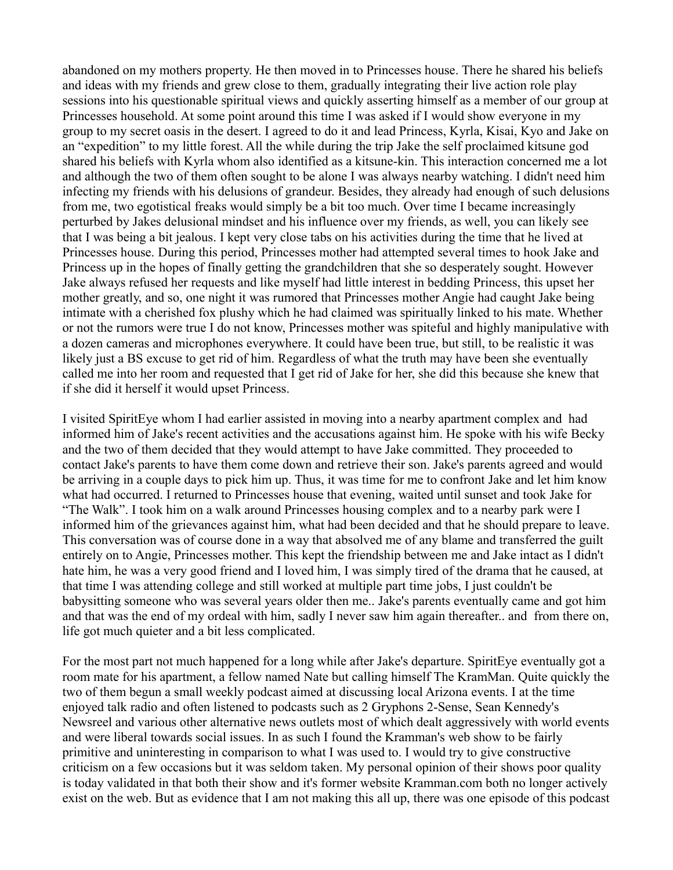abandoned on my mothers property. He then moved in to Princesses house. There he shared his beliefs and ideas with my friends and grew close to them, gradually integrating their live action role play sessions into his questionable spiritual views and quickly asserting himself as a member of our group at Princesses household. At some point around this time I was asked if I would show everyone in my group to my secret oasis in the desert. I agreed to do it and lead Princess, Kyrla, Kisai, Kyo and Jake on an "expedition" to my little forest. All the while during the trip Jake the self proclaimed kitsune god shared his beliefs with Kyrla whom also identified as a kitsune-kin. This interaction concerned me a lot and although the two of them often sought to be alone I was always nearby watching. I didn't need him infecting my friends with his delusions of grandeur. Besides, they already had enough of such delusions from me, two egotistical freaks would simply be a bit too much. Over time I became increasingly perturbed by Jakes delusional mindset and his influence over my friends, as well, you can likely see that I was being a bit jealous. I kept very close tabs on his activities during the time that he lived at Princesses house. During this period, Princesses mother had attempted several times to hook Jake and Princess up in the hopes of finally getting the grandchildren that she so desperately sought. However Jake always refused her requests and like myself had little interest in bedding Princess, this upset her mother greatly, and so, one night it was rumored that Princesses mother Angie had caught Jake being intimate with a cherished fox plushy which he had claimed was spiritually linked to his mate. Whether or not the rumors were true I do not know, Princesses mother was spiteful and highly manipulative with a dozen cameras and microphones everywhere. It could have been true, but still, to be realistic it was likely just a BS excuse to get rid of him. Regardless of what the truth may have been she eventually called me into her room and requested that I get rid of Jake for her, she did this because she knew that if she did it herself it would upset Princess.

I visited SpiritEye whom I had earlier assisted in moving into a nearby apartment complex and had informed him of Jake's recent activities and the accusations against him. He spoke with his wife Becky and the two of them decided that they would attempt to have Jake committed. They proceeded to contact Jake's parents to have them come down and retrieve their son. Jake's parents agreed and would be arriving in a couple days to pick him up. Thus, it was time for me to confront Jake and let him know what had occurred. I returned to Princesses house that evening, waited until sunset and took Jake for "The Walk". I took him on a walk around Princesses housing complex and to a nearby park were I informed him of the grievances against him, what had been decided and that he should prepare to leave. This conversation was of course done in a way that absolved me of any blame and transferred the guilt entirely on to Angie, Princesses mother. This kept the friendship between me and Jake intact as I didn't hate him, he was a very good friend and I loved him, I was simply tired of the drama that he caused, at that time I was attending college and still worked at multiple part time jobs, I just couldn't be babysitting someone who was several years older then me.. Jake's parents eventually came and got him and that was the end of my ordeal with him, sadly I never saw him again thereafter.. and from there on, life got much quieter and a bit less complicated.

For the most part not much happened for a long while after Jake's departure. SpiritEye eventually got a room mate for his apartment, a fellow named Nate but calling himself The KramMan. Quite quickly the two of them begun a small weekly podcast aimed at discussing local Arizona events. I at the time enjoyed talk radio and often listened to podcasts such as 2 Gryphons 2-Sense, Sean Kennedy's Newsreel and various other alternative news outlets most of which dealt aggressively with world events and were liberal towards social issues. In as such I found the Kramman's web show to be fairly primitive and uninteresting in comparison to what I was used to. I would try to give constructive criticism on a few occasions but it was seldom taken. My personal opinion of their shows poor quality is today validated in that both their show and it's former website Kramman.com both no longer actively exist on the web. But as evidence that I am not making this all up, there was one episode of this podcast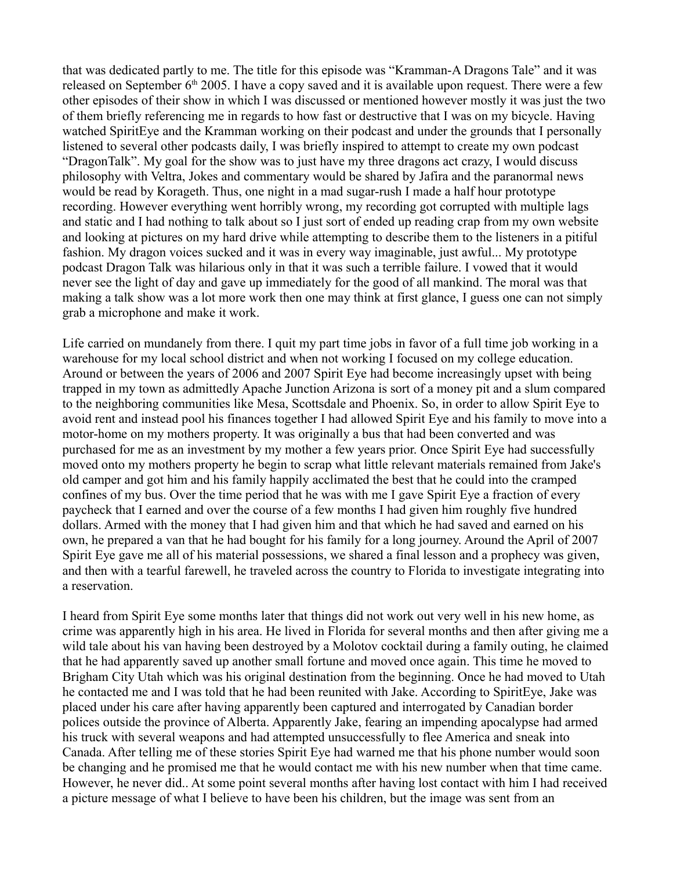that was dedicated partly to me. The title for this episode was "Kramman-A Dragons Tale" and it was released on September  $6<sup>th</sup>$  2005. I have a copy saved and it is available upon request. There were a few other episodes of their show in which I was discussed or mentioned however mostly it was just the two of them briefly referencing me in regards to how fast or destructive that I was on my bicycle. Having watched SpiritEye and the Kramman working on their podcast and under the grounds that I personally listened to several other podcasts daily, I was briefly inspired to attempt to create my own podcast "DragonTalk". My goal for the show was to just have my three dragons act crazy, I would discuss philosophy with Veltra, Jokes and commentary would be shared by Jafira and the paranormal news would be read by Korageth. Thus, one night in a mad sugar-rush I made a half hour prototype recording. However everything went horribly wrong, my recording got corrupted with multiple lags and static and I had nothing to talk about so I just sort of ended up reading crap from my own website and looking at pictures on my hard drive while attempting to describe them to the listeners in a pitiful fashion. My dragon voices sucked and it was in every way imaginable, just awful... My prototype podcast Dragon Talk was hilarious only in that it was such a terrible failure. I vowed that it would never see the light of day and gave up immediately for the good of all mankind. The moral was that making a talk show was a lot more work then one may think at first glance, I guess one can not simply grab a microphone and make it work.

Life carried on mundanely from there. I quit my part time jobs in favor of a full time job working in a warehouse for my local school district and when not working I focused on my college education. Around or between the years of 2006 and 2007 Spirit Eye had become increasingly upset with being trapped in my town as admittedly Apache Junction Arizona is sort of a money pit and a slum compared to the neighboring communities like Mesa, Scottsdale and Phoenix. So, in order to allow Spirit Eye to avoid rent and instead pool his finances together I had allowed Spirit Eye and his family to move into a motor-home on my mothers property. It was originally a bus that had been converted and was purchased for me as an investment by my mother a few years prior. Once Spirit Eye had successfully moved onto my mothers property he begin to scrap what little relevant materials remained from Jake's old camper and got him and his family happily acclimated the best that he could into the cramped confines of my bus. Over the time period that he was with me I gave Spirit Eye a fraction of every paycheck that I earned and over the course of a few months I had given him roughly five hundred dollars. Armed with the money that I had given him and that which he had saved and earned on his own, he prepared a van that he had bought for his family for a long journey. Around the April of 2007 Spirit Eye gave me all of his material possessions, we shared a final lesson and a prophecy was given, and then with a tearful farewell, he traveled across the country to Florida to investigate integrating into a reservation.

I heard from Spirit Eye some months later that things did not work out very well in his new home, as crime was apparently high in his area. He lived in Florida for several months and then after giving me a wild tale about his van having been destroyed by a Molotov cocktail during a family outing, he claimed that he had apparently saved up another small fortune and moved once again. This time he moved to Brigham City Utah which was his original destination from the beginning. Once he had moved to Utah he contacted me and I was told that he had been reunited with Jake. According to SpiritEye, Jake was placed under his care after having apparently been captured and interrogated by Canadian border polices outside the province of Alberta. Apparently Jake, fearing an impending apocalypse had armed his truck with several weapons and had attempted unsuccessfully to flee America and sneak into Canada. After telling me of these stories Spirit Eye had warned me that his phone number would soon be changing and he promised me that he would contact me with his new number when that time came. However, he never did.. At some point several months after having lost contact with him I had received a picture message of what I believe to have been his children, but the image was sent from an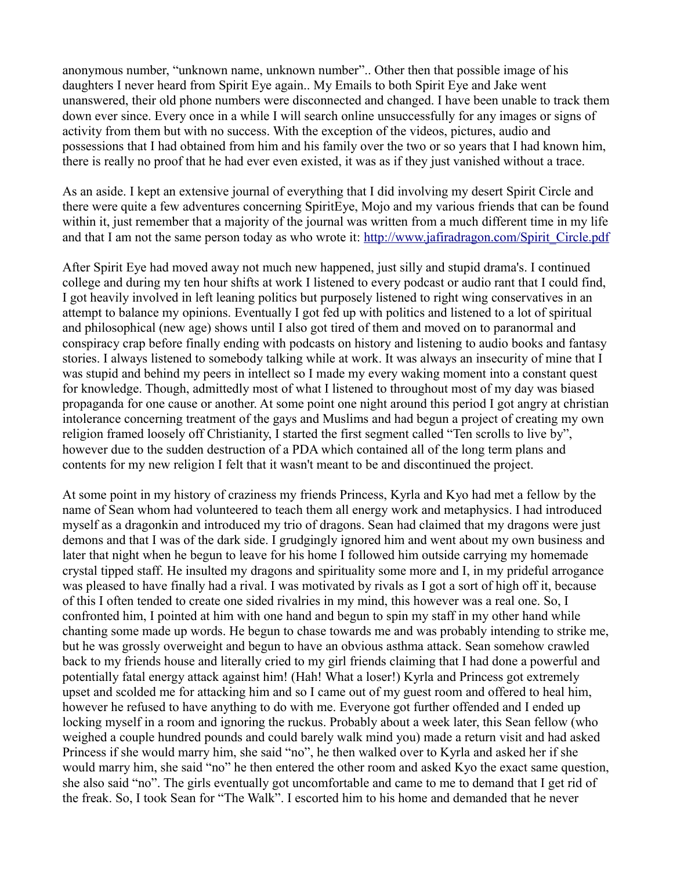anonymous number, "unknown name, unknown number".. Other then that possible image of his daughters I never heard from Spirit Eye again.. My Emails to both Spirit Eye and Jake went unanswered, their old phone numbers were disconnected and changed. I have been unable to track them down ever since. Every once in a while I will search online unsuccessfully for any images or signs of activity from them but with no success. With the exception of the videos, pictures, audio and possessions that I had obtained from him and his family over the two or so years that I had known him, there is really no proof that he had ever even existed, it was as if they just vanished without a trace.

As an aside. I kept an extensive journal of everything that I did involving my desert Spirit Circle and there were quite a few adventures concerning SpiritEye, Mojo and my various friends that can be found within it, just remember that a majority of the journal was written from a much different time in my life and that I am not the same person today as who wrote it: [http://www.jafiradragon.com/Spirit\\_Circle.pdf](http://www.jafiradragon.com/Spirit_Circle.pdf)

After Spirit Eye had moved away not much new happened, just silly and stupid drama's. I continued college and during my ten hour shifts at work I listened to every podcast or audio rant that I could find, I got heavily involved in left leaning politics but purposely listened to right wing conservatives in an attempt to balance my opinions. Eventually I got fed up with politics and listened to a lot of spiritual and philosophical (new age) shows until I also got tired of them and moved on to paranormal and conspiracy crap before finally ending with podcasts on history and listening to audio books and fantasy stories. I always listened to somebody talking while at work. It was always an insecurity of mine that I was stupid and behind my peers in intellect so I made my every waking moment into a constant quest for knowledge. Though, admittedly most of what I listened to throughout most of my day was biased propaganda for one cause or another. At some point one night around this period I got angry at christian intolerance concerning treatment of the gays and Muslims and had begun a project of creating my own religion framed loosely off Christianity, I started the first segment called "Ten scrolls to live by", however due to the sudden destruction of a PDA which contained all of the long term plans and contents for my new religion I felt that it wasn't meant to be and discontinued the project.

At some point in my history of craziness my friends Princess, Kyrla and Kyo had met a fellow by the name of Sean whom had volunteered to teach them all energy work and metaphysics. I had introduced myself as a dragonkin and introduced my trio of dragons. Sean had claimed that my dragons were just demons and that I was of the dark side. I grudgingly ignored him and went about my own business and later that night when he begun to leave for his home I followed him outside carrying my homemade crystal tipped staff. He insulted my dragons and spirituality some more and I, in my prideful arrogance was pleased to have finally had a rival. I was motivated by rivals as I got a sort of high off it, because of this I often tended to create one sided rivalries in my mind, this however was a real one. So, I confronted him, I pointed at him with one hand and begun to spin my staff in my other hand while chanting some made up words. He begun to chase towards me and was probably intending to strike me, but he was grossly overweight and begun to have an obvious asthma attack. Sean somehow crawled back to my friends house and literally cried to my girl friends claiming that I had done a powerful and potentially fatal energy attack against him! (Hah! What a loser!) Kyrla and Princess got extremely upset and scolded me for attacking him and so I came out of my guest room and offered to heal him, however he refused to have anything to do with me. Everyone got further offended and I ended up locking myself in a room and ignoring the ruckus. Probably about a week later, this Sean fellow (who weighed a couple hundred pounds and could barely walk mind you) made a return visit and had asked Princess if she would marry him, she said "no", he then walked over to Kyrla and asked her if she would marry him, she said "no" he then entered the other room and asked Kyo the exact same question, she also said "no". The girls eventually got uncomfortable and came to me to demand that I get rid of the freak. So, I took Sean for "The Walk". I escorted him to his home and demanded that he never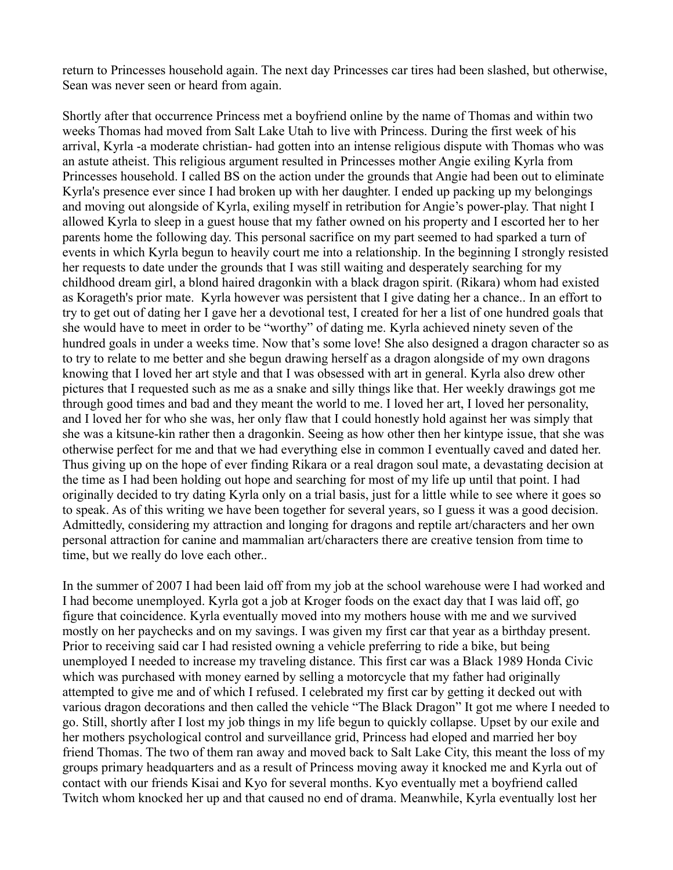return to Princesses household again. The next day Princesses car tires had been slashed, but otherwise, Sean was never seen or heard from again.

Shortly after that occurrence Princess met a boyfriend online by the name of Thomas and within two weeks Thomas had moved from Salt Lake Utah to live with Princess. During the first week of his arrival, Kyrla -a moderate christian- had gotten into an intense religious dispute with Thomas who was an astute atheist. This religious argument resulted in Princesses mother Angie exiling Kyrla from Princesses household. I called BS on the action under the grounds that Angie had been out to eliminate Kyrla's presence ever since I had broken up with her daughter. I ended up packing up my belongings and moving out alongside of Kyrla, exiling myself in retribution for Angie's power-play. That night I allowed Kyrla to sleep in a guest house that my father owned on his property and I escorted her to her parents home the following day. This personal sacrifice on my part seemed to had sparked a turn of events in which Kyrla begun to heavily court me into a relationship. In the beginning I strongly resisted her requests to date under the grounds that I was still waiting and desperately searching for my childhood dream girl, a blond haired dragonkin with a black dragon spirit. (Rikara) whom had existed as Korageth's prior mate. Kyrla however was persistent that I give dating her a chance.. In an effort to try to get out of dating her I gave her a devotional test, I created for her a list of one hundred goals that she would have to meet in order to be "worthy" of dating me. Kyrla achieved ninety seven of the hundred goals in under a weeks time. Now that's some love! She also designed a dragon character so as to try to relate to me better and she begun drawing herself as a dragon alongside of my own dragons knowing that I loved her art style and that I was obsessed with art in general. Kyrla also drew other pictures that I requested such as me as a snake and silly things like that. Her weekly drawings got me through good times and bad and they meant the world to me. I loved her art, I loved her personality, and I loved her for who she was, her only flaw that I could honestly hold against her was simply that she was a kitsune-kin rather then a dragonkin. Seeing as how other then her kintype issue, that she was otherwise perfect for me and that we had everything else in common I eventually caved and dated her. Thus giving up on the hope of ever finding Rikara or a real dragon soul mate, a devastating decision at the time as I had been holding out hope and searching for most of my life up until that point. I had originally decided to try dating Kyrla only on a trial basis, just for a little while to see where it goes so to speak. As of this writing we have been together for several years, so I guess it was a good decision. Admittedly, considering my attraction and longing for dragons and reptile art/characters and her own personal attraction for canine and mammalian art/characters there are creative tension from time to time, but we really do love each other..

In the summer of 2007 I had been laid off from my job at the school warehouse were I had worked and I had become unemployed. Kyrla got a job at Kroger foods on the exact day that I was laid off, go figure that coincidence. Kyrla eventually moved into my mothers house with me and we survived mostly on her paychecks and on my savings. I was given my first car that year as a birthday present. Prior to receiving said car I had resisted owning a vehicle preferring to ride a bike, but being unemployed I needed to increase my traveling distance. This first car was a Black 1989 Honda Civic which was purchased with money earned by selling a motorcycle that my father had originally attempted to give me and of which I refused. I celebrated my first car by getting it decked out with various dragon decorations and then called the vehicle "The Black Dragon" It got me where I needed to go. Still, shortly after I lost my job things in my life begun to quickly collapse. Upset by our exile and her mothers psychological control and surveillance grid, Princess had eloped and married her boy friend Thomas. The two of them ran away and moved back to Salt Lake City, this meant the loss of my groups primary headquarters and as a result of Princess moving away it knocked me and Kyrla out of contact with our friends Kisai and Kyo for several months. Kyo eventually met a boyfriend called Twitch whom knocked her up and that caused no end of drama. Meanwhile, Kyrla eventually lost her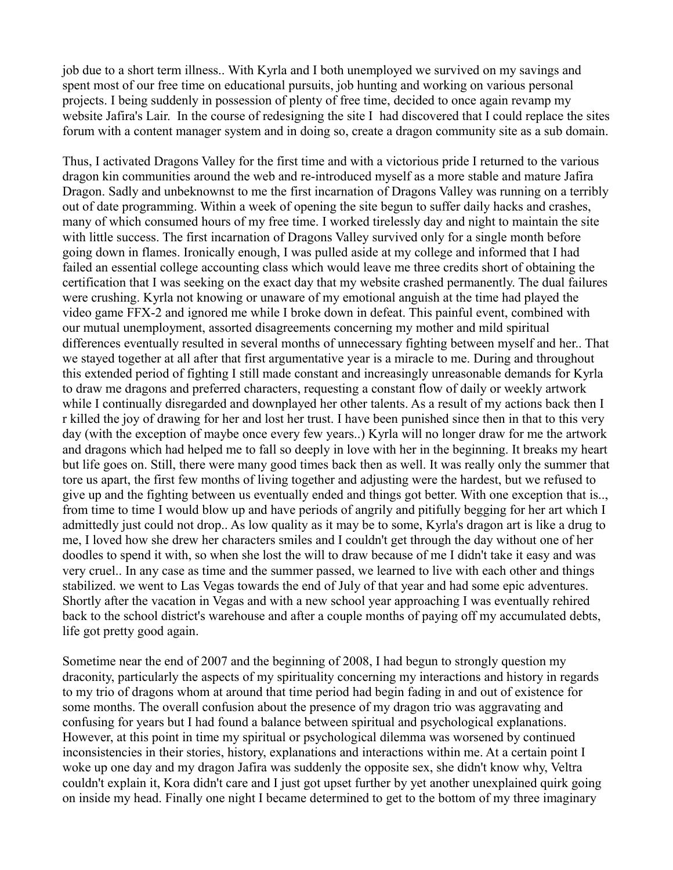job due to a short term illness.. With Kyrla and I both unemployed we survived on my savings and spent most of our free time on educational pursuits, job hunting and working on various personal projects. I being suddenly in possession of plenty of free time, decided to once again revamp my website Jafira's Lair. In the course of redesigning the site I had discovered that I could replace the sites forum with a content manager system and in doing so, create a dragon community site as a sub domain.

Thus, I activated Dragons Valley for the first time and with a victorious pride I returned to the various dragon kin communities around the web and re-introduced myself as a more stable and mature Jafira Dragon. Sadly and unbeknownst to me the first incarnation of Dragons Valley was running on a terribly out of date programming. Within a week of opening the site begun to suffer daily hacks and crashes, many of which consumed hours of my free time. I worked tirelessly day and night to maintain the site with little success. The first incarnation of Dragons Valley survived only for a single month before going down in flames. Ironically enough, I was pulled aside at my college and informed that I had failed an essential college accounting class which would leave me three credits short of obtaining the certification that I was seeking on the exact day that my website crashed permanently. The dual failures were crushing. Kyrla not knowing or unaware of my emotional anguish at the time had played the video game FFX-2 and ignored me while I broke down in defeat. This painful event, combined with our mutual unemployment, assorted disagreements concerning my mother and mild spiritual differences eventually resulted in several months of unnecessary fighting between myself and her.. That we stayed together at all after that first argumentative year is a miracle to me. During and throughout this extended period of fighting I still made constant and increasingly unreasonable demands for Kyrla to draw me dragons and preferred characters, requesting a constant flow of daily or weekly artwork while I continually disregarded and downplayed her other talents. As a result of my actions back then I r killed the joy of drawing for her and lost her trust. I have been punished since then in that to this very day (with the exception of maybe once every few years..) Kyrla will no longer draw for me the artwork and dragons which had helped me to fall so deeply in love with her in the beginning. It breaks my heart but life goes on. Still, there were many good times back then as well. It was really only the summer that tore us apart, the first few months of living together and adjusting were the hardest, but we refused to give up and the fighting between us eventually ended and things got better. With one exception that is.., from time to time I would blow up and have periods of angrily and pitifully begging for her art which I admittedly just could not drop.. As low quality as it may be to some, Kyrla's dragon art is like a drug to me, I loved how she drew her characters smiles and I couldn't get through the day without one of her doodles to spend it with, so when she lost the will to draw because of me I didn't take it easy and was very cruel.. In any case as time and the summer passed, we learned to live with each other and things stabilized. we went to Las Vegas towards the end of July of that year and had some epic adventures. Shortly after the vacation in Vegas and with a new school year approaching I was eventually rehired back to the school district's warehouse and after a couple months of paying off my accumulated debts, life got pretty good again.

Sometime near the end of 2007 and the beginning of 2008, I had begun to strongly question my draconity, particularly the aspects of my spirituality concerning my interactions and history in regards to my trio of dragons whom at around that time period had begin fading in and out of existence for some months. The overall confusion about the presence of my dragon trio was aggravating and confusing for years but I had found a balance between spiritual and psychological explanations. However, at this point in time my spiritual or psychological dilemma was worsened by continued inconsistencies in their stories, history, explanations and interactions within me. At a certain point I woke up one day and my dragon Jafira was suddenly the opposite sex, she didn't know why, Veltra couldn't explain it, Kora didn't care and I just got upset further by yet another unexplained quirk going on inside my head. Finally one night I became determined to get to the bottom of my three imaginary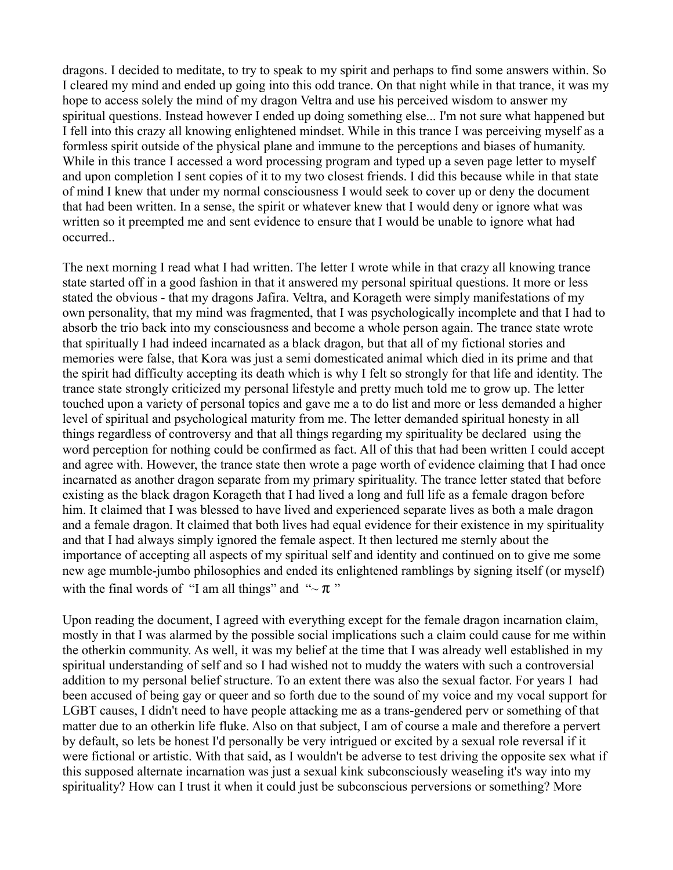dragons. I decided to meditate, to try to speak to my spirit and perhaps to find some answers within. So I cleared my mind and ended up going into this odd trance. On that night while in that trance, it was my hope to access solely the mind of my dragon Veltra and use his perceived wisdom to answer my spiritual questions. Instead however I ended up doing something else... I'm not sure what happened but I fell into this crazy all knowing enlightened mindset. While in this trance I was perceiving myself as a formless spirit outside of the physical plane and immune to the perceptions and biases of humanity. While in this trance I accessed a word processing program and typed up a seven page letter to myself and upon completion I sent copies of it to my two closest friends. I did this because while in that state of mind I knew that under my normal consciousness I would seek to cover up or deny the document that had been written. In a sense, the spirit or whatever knew that I would deny or ignore what was written so it preempted me and sent evidence to ensure that I would be unable to ignore what had occurred..

The next morning I read what I had written. The letter I wrote while in that crazy all knowing trance state started off in a good fashion in that it answered my personal spiritual questions. It more or less stated the obvious - that my dragons Jafira. Veltra, and Korageth were simply manifestations of my own personality, that my mind was fragmented, that I was psychologically incomplete and that I had to absorb the trio back into my consciousness and become a whole person again. The trance state wrote that spiritually I had indeed incarnated as a black dragon, but that all of my fictional stories and memories were false, that Kora was just a semi domesticated animal which died in its prime and that the spirit had difficulty accepting its death which is why I felt so strongly for that life and identity. The trance state strongly criticized my personal lifestyle and pretty much told me to grow up. The letter touched upon a variety of personal topics and gave me a to do list and more or less demanded a higher level of spiritual and psychological maturity from me. The letter demanded spiritual honesty in all things regardless of controversy and that all things regarding my spirituality be declared using the word perception for nothing could be confirmed as fact. All of this that had been written I could accept and agree with. However, the trance state then wrote a page worth of evidence claiming that I had once incarnated as another dragon separate from my primary spirituality. The trance letter stated that before existing as the black dragon Korageth that I had lived a long and full life as a female dragon before him. It claimed that I was blessed to have lived and experienced separate lives as both a male dragon and a female dragon. It claimed that both lives had equal evidence for their existence in my spirituality and that I had always simply ignored the female aspect. It then lectured me sternly about the importance of accepting all aspects of my spiritual self and identity and continued on to give me some new age mumble-jumbo philosophies and ended its enlightened ramblings by signing itself (or myself) with the final words of "I am all things" and " $\sim \pi$ "

Upon reading the document, I agreed with everything except for the female dragon incarnation claim, mostly in that I was alarmed by the possible social implications such a claim could cause for me within the otherkin community. As well, it was my belief at the time that I was already well established in my spiritual understanding of self and so I had wished not to muddy the waters with such a controversial addition to my personal belief structure. To an extent there was also the sexual factor. For years I had been accused of being gay or queer and so forth due to the sound of my voice and my vocal support for LGBT causes, I didn't need to have people attacking me as a trans-gendered perv or something of that matter due to an otherkin life fluke. Also on that subject, I am of course a male and therefore a pervert by default, so lets be honest I'd personally be very intrigued or excited by a sexual role reversal if it were fictional or artistic. With that said, as I wouldn't be adverse to test driving the opposite sex what if this supposed alternate incarnation was just a sexual kink subconsciously weaseling it's way into my spirituality? How can I trust it when it could just be subconscious perversions or something? More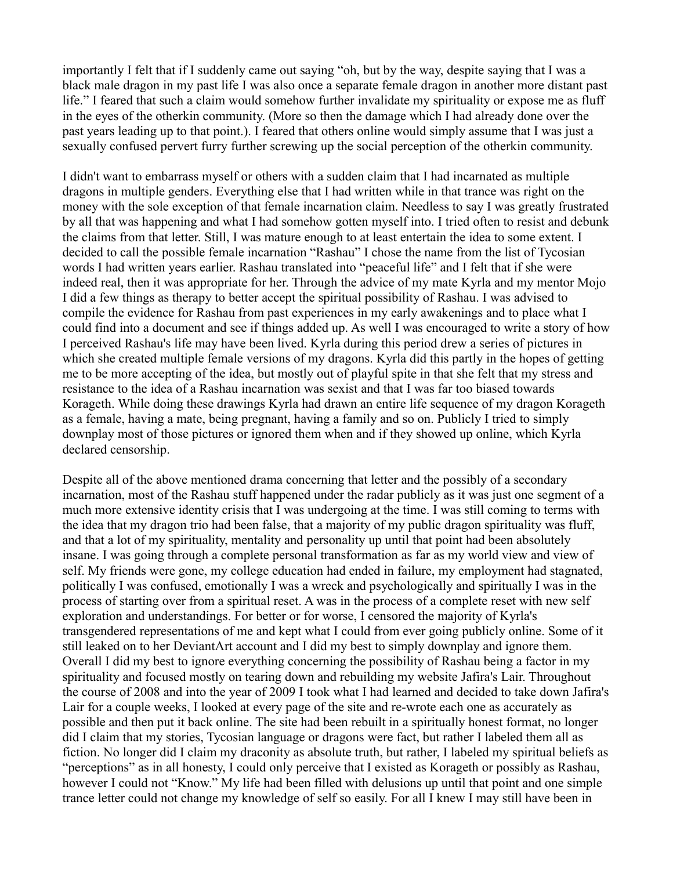importantly I felt that if I suddenly came out saying "oh, but by the way, despite saying that I was a black male dragon in my past life I was also once a separate female dragon in another more distant past life." I feared that such a claim would somehow further invalidate my spirituality or expose me as fluff in the eyes of the otherkin community. (More so then the damage which I had already done over the past years leading up to that point.). I feared that others online would simply assume that I was just a sexually confused pervert furry further screwing up the social perception of the otherkin community.

I didn't want to embarrass myself or others with a sudden claim that I had incarnated as multiple dragons in multiple genders. Everything else that I had written while in that trance was right on the money with the sole exception of that female incarnation claim. Needless to say I was greatly frustrated by all that was happening and what I had somehow gotten myself into. I tried often to resist and debunk the claims from that letter. Still, I was mature enough to at least entertain the idea to some extent. I decided to call the possible female incarnation "Rashau" I chose the name from the list of Tycosian words I had written years earlier. Rashau translated into "peaceful life" and I felt that if she were indeed real, then it was appropriate for her. Through the advice of my mate Kyrla and my mentor Mojo I did a few things as therapy to better accept the spiritual possibility of Rashau. I was advised to compile the evidence for Rashau from past experiences in my early awakenings and to place what I could find into a document and see if things added up. As well I was encouraged to write a story of how I perceived Rashau's life may have been lived. Kyrla during this period drew a series of pictures in which she created multiple female versions of my dragons. Kyrla did this partly in the hopes of getting me to be more accepting of the idea, but mostly out of playful spite in that she felt that my stress and resistance to the idea of a Rashau incarnation was sexist and that I was far too biased towards Korageth. While doing these drawings Kyrla had drawn an entire life sequence of my dragon Korageth as a female, having a mate, being pregnant, having a family and so on. Publicly I tried to simply downplay most of those pictures or ignored them when and if they showed up online, which Kyrla declared censorship.

Despite all of the above mentioned drama concerning that letter and the possibly of a secondary incarnation, most of the Rashau stuff happened under the radar publicly as it was just one segment of a much more extensive identity crisis that I was undergoing at the time. I was still coming to terms with the idea that my dragon trio had been false, that a majority of my public dragon spirituality was fluff, and that a lot of my spirituality, mentality and personality up until that point had been absolutely insane. I was going through a complete personal transformation as far as my world view and view of self. My friends were gone, my college education had ended in failure, my employment had stagnated, politically I was confused, emotionally I was a wreck and psychologically and spiritually I was in the process of starting over from a spiritual reset. A was in the process of a complete reset with new self exploration and understandings. For better or for worse, I censored the majority of Kyrla's transgendered representations of me and kept what I could from ever going publicly online. Some of it still leaked on to her DeviantArt account and I did my best to simply downplay and ignore them. Overall I did my best to ignore everything concerning the possibility of Rashau being a factor in my spirituality and focused mostly on tearing down and rebuilding my website Jafira's Lair. Throughout the course of 2008 and into the year of 2009 I took what I had learned and decided to take down Jafira's Lair for a couple weeks, I looked at every page of the site and re-wrote each one as accurately as possible and then put it back online. The site had been rebuilt in a spiritually honest format, no longer did I claim that my stories, Tycosian language or dragons were fact, but rather I labeled them all as fiction. No longer did I claim my draconity as absolute truth, but rather, I labeled my spiritual beliefs as "perceptions" as in all honesty, I could only perceive that I existed as Korageth or possibly as Rashau, however I could not "Know." My life had been filled with delusions up until that point and one simple trance letter could not change my knowledge of self so easily. For all I knew I may still have been in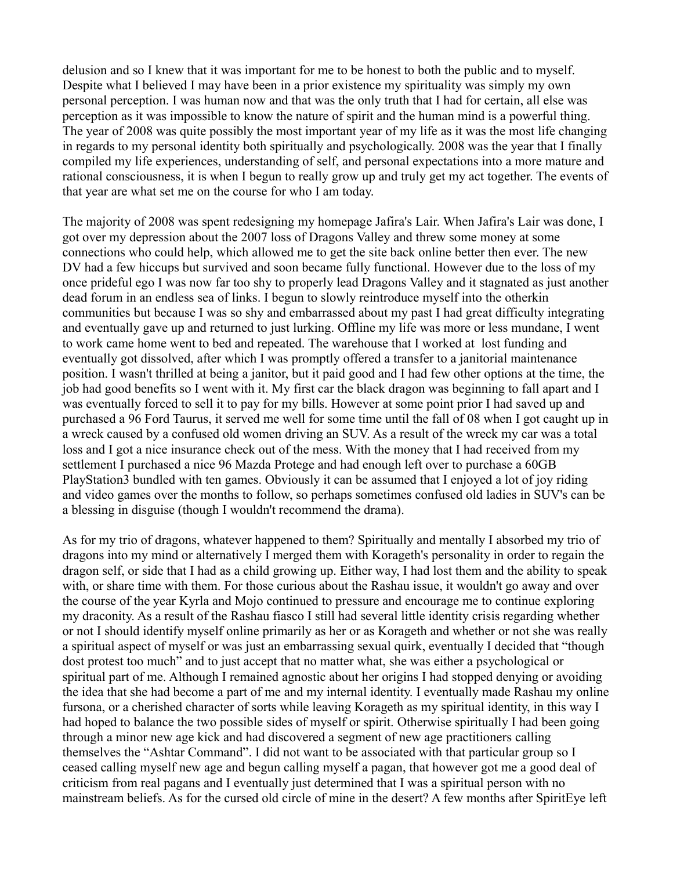delusion and so I knew that it was important for me to be honest to both the public and to myself. Despite what I believed I may have been in a prior existence my spirituality was simply my own personal perception. I was human now and that was the only truth that I had for certain, all else was perception as it was impossible to know the nature of spirit and the human mind is a powerful thing. The year of 2008 was quite possibly the most important year of my life as it was the most life changing in regards to my personal identity both spiritually and psychologically. 2008 was the year that I finally compiled my life experiences, understanding of self, and personal expectations into a more mature and rational consciousness, it is when I begun to really grow up and truly get my act together. The events of that year are what set me on the course for who I am today.

The majority of 2008 was spent redesigning my homepage Jafira's Lair. When Jafira's Lair was done, I got over my depression about the 2007 loss of Dragons Valley and threw some money at some connections who could help, which allowed me to get the site back online better then ever. The new DV had a few hiccups but survived and soon became fully functional. However due to the loss of my once prideful ego I was now far too shy to properly lead Dragons Valley and it stagnated as just another dead forum in an endless sea of links. I begun to slowly reintroduce myself into the otherkin communities but because I was so shy and embarrassed about my past I had great difficulty integrating and eventually gave up and returned to just lurking. Offline my life was more or less mundane, I went to work came home went to bed and repeated. The warehouse that I worked at lost funding and eventually got dissolved, after which I was promptly offered a transfer to a janitorial maintenance position. I wasn't thrilled at being a janitor, but it paid good and I had few other options at the time, the job had good benefits so I went with it. My first car the black dragon was beginning to fall apart and I was eventually forced to sell it to pay for my bills. However at some point prior I had saved up and purchased a 96 Ford Taurus, it served me well for some time until the fall of 08 when I got caught up in a wreck caused by a confused old women driving an SUV. As a result of the wreck my car was a total loss and I got a nice insurance check out of the mess. With the money that I had received from my settlement I purchased a nice 96 Mazda Protege and had enough left over to purchase a 60GB PlayStation3 bundled with ten games. Obviously it can be assumed that I enjoyed a lot of joy riding and video games over the months to follow, so perhaps sometimes confused old ladies in SUV's can be a blessing in disguise (though I wouldn't recommend the drama).

As for my trio of dragons, whatever happened to them? Spiritually and mentally I absorbed my trio of dragons into my mind or alternatively I merged them with Korageth's personality in order to regain the dragon self, or side that I had as a child growing up. Either way, I had lost them and the ability to speak with, or share time with them. For those curious about the Rashau issue, it wouldn't go away and over the course of the year Kyrla and Mojo continued to pressure and encourage me to continue exploring my draconity. As a result of the Rashau fiasco I still had several little identity crisis regarding whether or not I should identify myself online primarily as her or as Korageth and whether or not she was really a spiritual aspect of myself or was just an embarrassing sexual quirk, eventually I decided that "though dost protest too much" and to just accept that no matter what, she was either a psychological or spiritual part of me. Although I remained agnostic about her origins I had stopped denying or avoiding the idea that she had become a part of me and my internal identity. I eventually made Rashau my online fursona, or a cherished character of sorts while leaving Korageth as my spiritual identity, in this way I had hoped to balance the two possible sides of myself or spirit. Otherwise spiritually I had been going through a minor new age kick and had discovered a segment of new age practitioners calling themselves the "Ashtar Command". I did not want to be associated with that particular group so I ceased calling myself new age and begun calling myself a pagan, that however got me a good deal of criticism from real pagans and I eventually just determined that I was a spiritual person with no mainstream beliefs. As for the cursed old circle of mine in the desert? A few months after SpiritEye left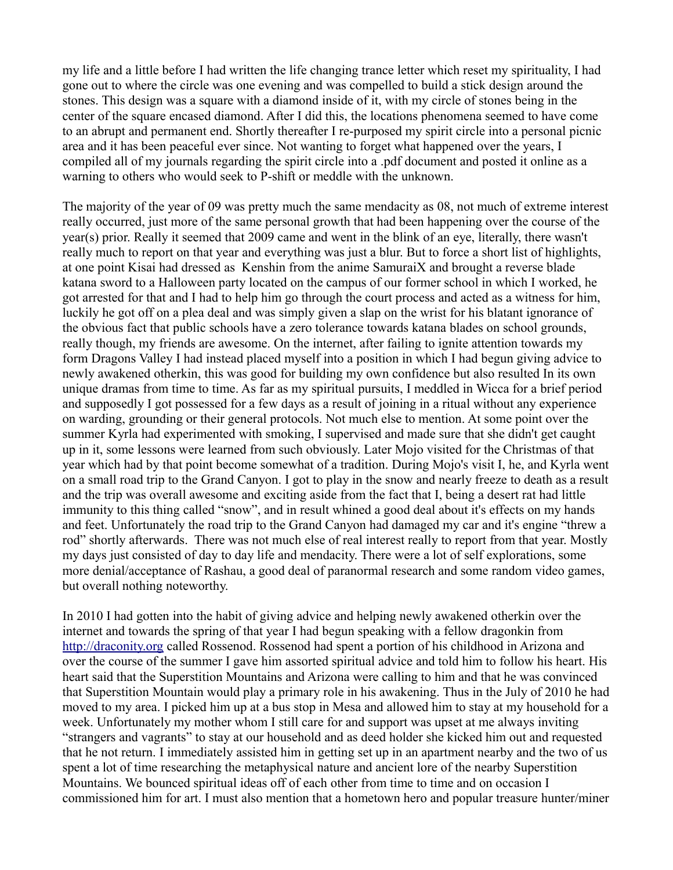my life and a little before I had written the life changing trance letter which reset my spirituality, I had gone out to where the circle was one evening and was compelled to build a stick design around the stones. This design was a square with a diamond inside of it, with my circle of stones being in the center of the square encased diamond. After I did this, the locations phenomena seemed to have come to an abrupt and permanent end. Shortly thereafter I re-purposed my spirit circle into a personal picnic area and it has been peaceful ever since. Not wanting to forget what happened over the years, I compiled all of my journals regarding the spirit circle into a .pdf document and posted it online as a warning to others who would seek to P-shift or meddle with the unknown.

The majority of the year of 09 was pretty much the same mendacity as 08, not much of extreme interest really occurred, just more of the same personal growth that had been happening over the course of the year(s) prior. Really it seemed that 2009 came and went in the blink of an eye, literally, there wasn't really much to report on that year and everything was just a blur. But to force a short list of highlights, at one point Kisai had dressed as Kenshin from the anime SamuraiX and brought a reverse blade katana sword to a Halloween party located on the campus of our former school in which I worked, he got arrested for that and I had to help him go through the court process and acted as a witness for him, luckily he got off on a plea deal and was simply given a slap on the wrist for his blatant ignorance of the obvious fact that public schools have a zero tolerance towards katana blades on school grounds, really though, my friends are awesome. On the internet, after failing to ignite attention towards my form Dragons Valley I had instead placed myself into a position in which I had begun giving advice to newly awakened otherkin, this was good for building my own confidence but also resulted In its own unique dramas from time to time. As far as my spiritual pursuits, I meddled in Wicca for a brief period and supposedly I got possessed for a few days as a result of joining in a ritual without any experience on warding, grounding or their general protocols. Not much else to mention. At some point over the summer Kyrla had experimented with smoking, I supervised and made sure that she didn't get caught up in it, some lessons were learned from such obviously. Later Mojo visited for the Christmas of that year which had by that point become somewhat of a tradition. During Mojo's visit I, he, and Kyrla went on a small road trip to the Grand Canyon. I got to play in the snow and nearly freeze to death as a result and the trip was overall awesome and exciting aside from the fact that I, being a desert rat had little immunity to this thing called "snow", and in result whined a good deal about it's effects on my hands and feet. Unfortunately the road trip to the Grand Canyon had damaged my car and it's engine "threw a rod" shortly afterwards. There was not much else of real interest really to report from that year. Mostly my days just consisted of day to day life and mendacity. There were a lot of self explorations, some more denial/acceptance of Rashau, a good deal of paranormal research and some random video games, but overall nothing noteworthy.

In 2010 I had gotten into the habit of giving advice and helping newly awakened otherkin over the internet and towards the spring of that year I had begun speaking with a fellow dragonkin from [http://draconity.org](http://draconity.org/) called Rossenod. Rossenod had spent a portion of his childhood in Arizona and over the course of the summer I gave him assorted spiritual advice and told him to follow his heart. His heart said that the Superstition Mountains and Arizona were calling to him and that he was convinced that Superstition Mountain would play a primary role in his awakening. Thus in the July of 2010 he had moved to my area. I picked him up at a bus stop in Mesa and allowed him to stay at my household for a week. Unfortunately my mother whom I still care for and support was upset at me always inviting "strangers and vagrants" to stay at our household and as deed holder she kicked him out and requested that he not return. I immediately assisted him in getting set up in an apartment nearby and the two of us spent a lot of time researching the metaphysical nature and ancient lore of the nearby Superstition Mountains. We bounced spiritual ideas off of each other from time to time and on occasion I commissioned him for art. I must also mention that a hometown hero and popular treasure hunter/miner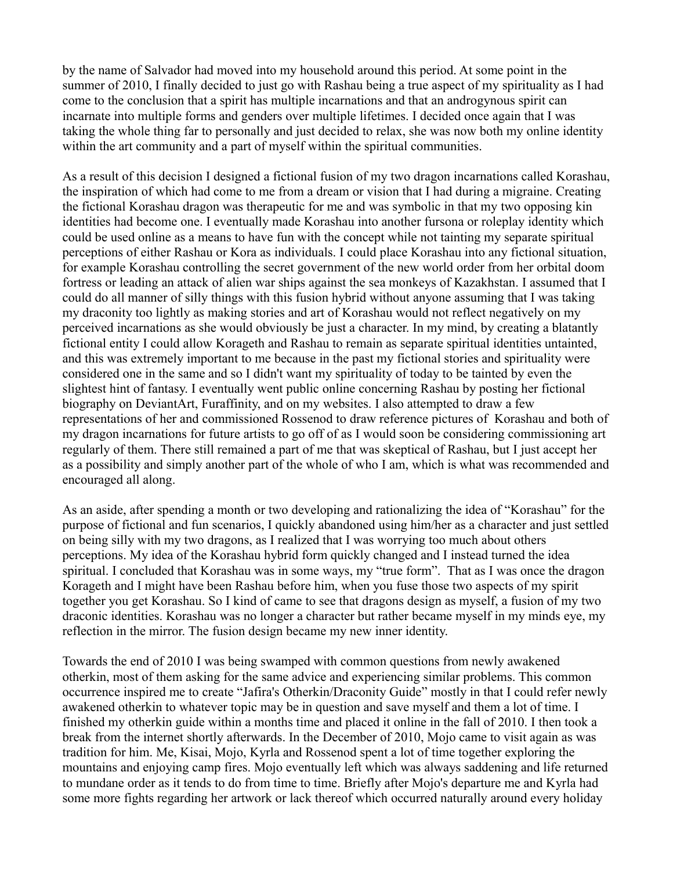by the name of Salvador had moved into my household around this period. At some point in the summer of 2010, I finally decided to just go with Rashau being a true aspect of my spirituality as I had come to the conclusion that a spirit has multiple incarnations and that an androgynous spirit can incarnate into multiple forms and genders over multiple lifetimes. I decided once again that I was taking the whole thing far to personally and just decided to relax, she was now both my online identity within the art community and a part of myself within the spiritual communities.

As a result of this decision I designed a fictional fusion of my two dragon incarnations called Korashau, the inspiration of which had come to me from a dream or vision that I had during a migraine. Creating the fictional Korashau dragon was therapeutic for me and was symbolic in that my two opposing kin identities had become one. I eventually made Korashau into another fursona or roleplay identity which could be used online as a means to have fun with the concept while not tainting my separate spiritual perceptions of either Rashau or Kora as individuals. I could place Korashau into any fictional situation, for example Korashau controlling the secret government of the new world order from her orbital doom fortress or leading an attack of alien war ships against the sea monkeys of Kazakhstan. I assumed that I could do all manner of silly things with this fusion hybrid without anyone assuming that I was taking my draconity too lightly as making stories and art of Korashau would not reflect negatively on my perceived incarnations as she would obviously be just a character. In my mind, by creating a blatantly fictional entity I could allow Korageth and Rashau to remain as separate spiritual identities untainted, and this was extremely important to me because in the past my fictional stories and spirituality were considered one in the same and so I didn't want my spirituality of today to be tainted by even the slightest hint of fantasy. I eventually went public online concerning Rashau by posting her fictional biography on DeviantArt, Furaffinity, and on my websites. I also attempted to draw a few representations of her and commissioned Rossenod to draw reference pictures of Korashau and both of my dragon incarnations for future artists to go off of as I would soon be considering commissioning art regularly of them. There still remained a part of me that was skeptical of Rashau, but I just accept her as a possibility and simply another part of the whole of who I am, which is what was recommended and encouraged all along.

As an aside, after spending a month or two developing and rationalizing the idea of "Korashau" for the purpose of fictional and fun scenarios, I quickly abandoned using him/her as a character and just settled on being silly with my two dragons, as I realized that I was worrying too much about others perceptions. My idea of the Korashau hybrid form quickly changed and I instead turned the idea spiritual. I concluded that Korashau was in some ways, my "true form". That as I was once the dragon Korageth and I might have been Rashau before him, when you fuse those two aspects of my spirit together you get Korashau. So I kind of came to see that dragons design as myself, a fusion of my two draconic identities. Korashau was no longer a character but rather became myself in my minds eye, my reflection in the mirror. The fusion design became my new inner identity.

Towards the end of 2010 I was being swamped with common questions from newly awakened otherkin, most of them asking for the same advice and experiencing similar problems. This common occurrence inspired me to create "Jafira's Otherkin/Draconity Guide" mostly in that I could refer newly awakened otherkin to whatever topic may be in question and save myself and them a lot of time. I finished my otherkin guide within a months time and placed it online in the fall of 2010. I then took a break from the internet shortly afterwards. In the December of 2010, Mojo came to visit again as was tradition for him. Me, Kisai, Mojo, Kyrla and Rossenod spent a lot of time together exploring the mountains and enjoying camp fires. Mojo eventually left which was always saddening and life returned to mundane order as it tends to do from time to time. Briefly after Mojo's departure me and Kyrla had some more fights regarding her artwork or lack thereof which occurred naturally around every holiday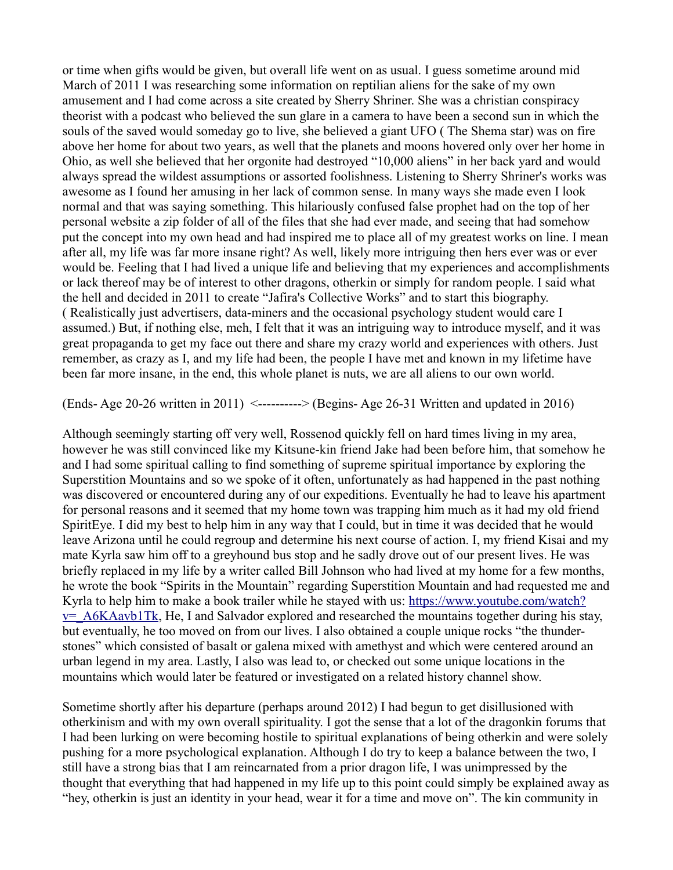or time when gifts would be given, but overall life went on as usual. I guess sometime around mid March of 2011 I was researching some information on reptilian aliens for the sake of my own amusement and I had come across a site created by Sherry Shriner. She was a christian conspiracy theorist with a podcast who believed the sun glare in a camera to have been a second sun in which the souls of the saved would someday go to live, she believed a giant UFO ( The Shema star) was on fire above her home for about two years, as well that the planets and moons hovered only over her home in Ohio, as well she believed that her orgonite had destroyed "10,000 aliens" in her back yard and would always spread the wildest assumptions or assorted foolishness. Listening to Sherry Shriner's works was awesome as I found her amusing in her lack of common sense. In many ways she made even I look normal and that was saying something. This hilariously confused false prophet had on the top of her personal website a zip folder of all of the files that she had ever made, and seeing that had somehow put the concept into my own head and had inspired me to place all of my greatest works on line. I mean after all, my life was far more insane right? As well, likely more intriguing then hers ever was or ever would be. Feeling that I had lived a unique life and believing that my experiences and accomplishments or lack thereof may be of interest to other dragons, otherkin or simply for random people. I said what the hell and decided in 2011 to create "Jafira's Collective Works" and to start this biography. ( Realistically just advertisers, data-miners and the occasional psychology student would care I assumed.) But, if nothing else, meh, I felt that it was an intriguing way to introduce myself, and it was great propaganda to get my face out there and share my crazy world and experiences with others. Just remember, as crazy as I, and my life had been, the people I have met and known in my lifetime have been far more insane, in the end, this whole planet is nuts, we are all aliens to our own world.

(Ends- Age 20-26 written in 2011) <----------> (Begins- Age 26-31 Written and updated in 2016)

Although seemingly starting off very well, Rossenod quickly fell on hard times living in my area, however he was still convinced like my Kitsune-kin friend Jake had been before him, that somehow he and I had some spiritual calling to find something of supreme spiritual importance by exploring the Superstition Mountains and so we spoke of it often, unfortunately as had happened in the past nothing was discovered or encountered during any of our expeditions. Eventually he had to leave his apartment for personal reasons and it seemed that my home town was trapping him much as it had my old friend SpiritEye. I did my best to help him in any way that I could, but in time it was decided that he would leave Arizona until he could regroup and determine his next course of action. I, my friend Kisai and my mate Kyrla saw him off to a greyhound bus stop and he sadly drove out of our present lives. He was briefly replaced in my life by a writer called Bill Johnson who had lived at my home for a few months, he wrote the book "Spirits in the Mountain" regarding Superstition Mountain and had requested me and Kyrla to help him to make a book trailer while he stayed with us: [https://www.youtube.com/watch?](https://www.youtube.com/watch?v=_A6KAavb1Tk)  $v=$  A6KAavb1Tk, He, I and Salvador explored and researched the mountains together during his stay, but eventually, he too moved on from our lives. I also obtained a couple unique rocks "the thunderstones" which consisted of basalt or galena mixed with amethyst and which were centered around an urban legend in my area. Lastly, I also was lead to, or checked out some unique locations in the mountains which would later be featured or investigated on a related history channel show.

Sometime shortly after his departure (perhaps around 2012) I had begun to get disillusioned with otherkinism and with my own overall spirituality. I got the sense that a lot of the dragonkin forums that I had been lurking on were becoming hostile to spiritual explanations of being otherkin and were solely pushing for a more psychological explanation. Although I do try to keep a balance between the two, I still have a strong bias that I am reincarnated from a prior dragon life, I was unimpressed by the thought that everything that had happened in my life up to this point could simply be explained away as "hey, otherkin is just an identity in your head, wear it for a time and move on". The kin community in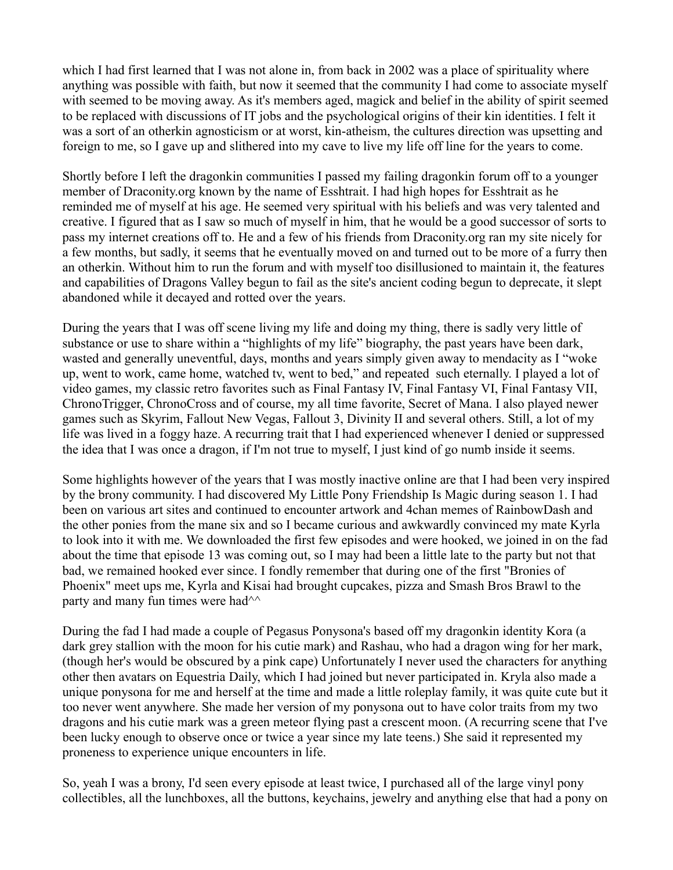which I had first learned that I was not alone in, from back in 2002 was a place of spirituality where anything was possible with faith, but now it seemed that the community I had come to associate myself with seemed to be moving away. As it's members aged, magick and belief in the ability of spirit seemed to be replaced with discussions of IT jobs and the psychological origins of their kin identities. I felt it was a sort of an otherkin agnosticism or at worst, kin-atheism, the cultures direction was upsetting and foreign to me, so I gave up and slithered into my cave to live my life off line for the years to come.

Shortly before I left the dragonkin communities I passed my failing dragonkin forum off to a younger member of Draconity.org known by the name of Esshtrait. I had high hopes for Esshtrait as he reminded me of myself at his age. He seemed very spiritual with his beliefs and was very talented and creative. I figured that as I saw so much of myself in him, that he would be a good successor of sorts to pass my internet creations off to. He and a few of his friends from Draconity.org ran my site nicely for a few months, but sadly, it seems that he eventually moved on and turned out to be more of a furry then an otherkin. Without him to run the forum and with myself too disillusioned to maintain it, the features and capabilities of Dragons Valley begun to fail as the site's ancient coding begun to deprecate, it slept abandoned while it decayed and rotted over the years.

During the years that I was off scene living my life and doing my thing, there is sadly very little of substance or use to share within a "highlights of my life" biography, the past years have been dark, wasted and generally uneventful, days, months and years simply given away to mendacity as I "woke up, went to work, came home, watched tv, went to bed," and repeated such eternally. I played a lot of video games, my classic retro favorites such as Final Fantasy IV, Final Fantasy VI, Final Fantasy VII, ChronoTrigger, ChronoCross and of course, my all time favorite, Secret of Mana. I also played newer games such as Skyrim, Fallout New Vegas, Fallout 3, Divinity II and several others. Still, a lot of my life was lived in a foggy haze. A recurring trait that I had experienced whenever I denied or suppressed the idea that I was once a dragon, if I'm not true to myself, I just kind of go numb inside it seems.

Some highlights however of the years that I was mostly inactive online are that I had been very inspired by the brony community. I had discovered My Little Pony Friendship Is Magic during season 1. I had been on various art sites and continued to encounter artwork and 4chan memes of RainbowDash and the other ponies from the mane six and so I became curious and awkwardly convinced my mate Kyrla to look into it with me. We downloaded the first few episodes and were hooked, we joined in on the fad about the time that episode 13 was coming out, so I may had been a little late to the party but not that bad, we remained hooked ever since. I fondly remember that during one of the first "Bronies of Phoenix" meet ups me, Kyrla and Kisai had brought cupcakes, pizza and Smash Bros Brawl to the party and many fun times were had  $\sim$ 

During the fad I had made a couple of Pegasus Ponysona's based off my dragonkin identity Kora (a dark grey stallion with the moon for his cutie mark) and Rashau, who had a dragon wing for her mark, (though her's would be obscured by a pink cape) Unfortunately I never used the characters for anything other then avatars on Equestria Daily, which I had joined but never participated in. Kryla also made a unique ponysona for me and herself at the time and made a little roleplay family, it was quite cute but it too never went anywhere. She made her version of my ponysona out to have color traits from my two dragons and his cutie mark was a green meteor flying past a crescent moon. (A recurring scene that I've been lucky enough to observe once or twice a year since my late teens.) She said it represented my proneness to experience unique encounters in life.

So, yeah I was a brony, I'd seen every episode at least twice, I purchased all of the large vinyl pony collectibles, all the lunchboxes, all the buttons, keychains, jewelry and anything else that had a pony on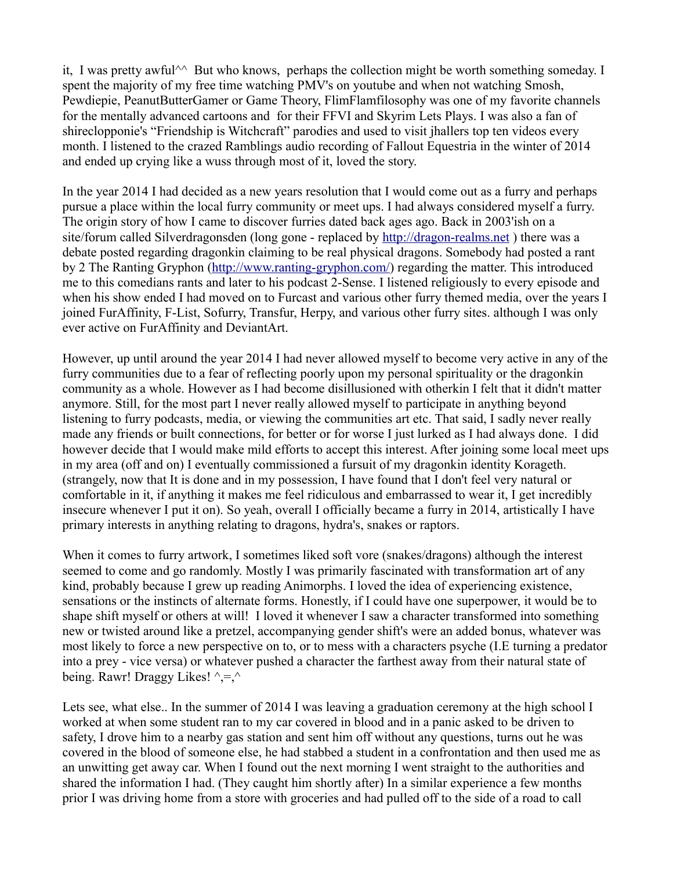it, I was pretty awful<sup> $\wedge$ </sup> But who knows, perhaps the collection might be worth something someday. I spent the majority of my free time watching PMV's on youtube and when not watching Smosh, Pewdiepie, PeanutButterGamer or Game Theory, FlimFlamfilosophy was one of my favorite channels for the mentally advanced cartoons and for their FFVI and Skyrim Lets Plays. I was also a fan of shireclopponie's "Friendship is Witchcraft" parodies and used to visit jhallers top ten videos every month. I listened to the crazed Ramblings audio recording of Fallout Equestria in the winter of 2014 and ended up crying like a wuss through most of it, loved the story.

In the year 2014 I had decided as a new years resolution that I would come out as a furry and perhaps pursue a place within the local furry community or meet ups. I had always considered myself a furry. The origin story of how I came to discover furries dated back ages ago. Back in 2003'ish on a site/forum called Silverdragonsden (long gone - replaced by [http://dragon-realms.net](http://dragon-realms.net/) ) there was a debate posted regarding dragonkin claiming to be real physical dragons. Somebody had posted a rant by 2 The Ranting Gryphon [\(http://www.ranting-gryphon.com/\)](http://www.ranting-gryphon.com/) regarding the matter. This introduced me to this comedians rants and later to his podcast 2-Sense. I listened religiously to every episode and when his show ended I had moved on to Furcast and various other furry themed media, over the years I joined FurAffinity, F-List, Sofurry, Transfur, Herpy, and various other furry sites. although I was only ever active on FurAffinity and DeviantArt.

However, up until around the year 2014 I had never allowed myself to become very active in any of the furry communities due to a fear of reflecting poorly upon my personal spirituality or the dragonkin community as a whole. However as I had become disillusioned with otherkin I felt that it didn't matter anymore. Still, for the most part I never really allowed myself to participate in anything beyond listening to furry podcasts, media, or viewing the communities art etc. That said, I sadly never really made any friends or built connections, for better or for worse I just lurked as I had always done. I did however decide that I would make mild efforts to accept this interest. After joining some local meet ups in my area (off and on) I eventually commissioned a fursuit of my dragonkin identity Korageth. (strangely, now that It is done and in my possession, I have found that I don't feel very natural or comfortable in it, if anything it makes me feel ridiculous and embarrassed to wear it, I get incredibly insecure whenever I put it on). So yeah, overall I officially became a furry in 2014, artistically I have primary interests in anything relating to dragons, hydra's, snakes or raptors.

When it comes to furry artwork, I sometimes liked soft vore (snakes/dragons) although the interest seemed to come and go randomly. Mostly I was primarily fascinated with transformation art of any kind, probably because I grew up reading Animorphs. I loved the idea of experiencing existence, sensations or the instincts of alternate forms. Honestly, if I could have one superpower, it would be to shape shift myself or others at will! I loved it whenever I saw a character transformed into something new or twisted around like a pretzel, accompanying gender shift's were an added bonus, whatever was most likely to force a new perspective on to, or to mess with a characters psyche (I.E turning a predator into a prey - vice versa) or whatever pushed a character the farthest away from their natural state of being. Rawr! Draggy Likes!  $\hat{}$ , =,  $\hat{}$ 

Lets see, what else.. In the summer of 2014 I was leaving a graduation ceremony at the high school I worked at when some student ran to my car covered in blood and in a panic asked to be driven to safety, I drove him to a nearby gas station and sent him off without any questions, turns out he was covered in the blood of someone else, he had stabbed a student in a confrontation and then used me as an unwitting get away car. When I found out the next morning I went straight to the authorities and shared the information I had. (They caught him shortly after) In a similar experience a few months prior I was driving home from a store with groceries and had pulled off to the side of a road to call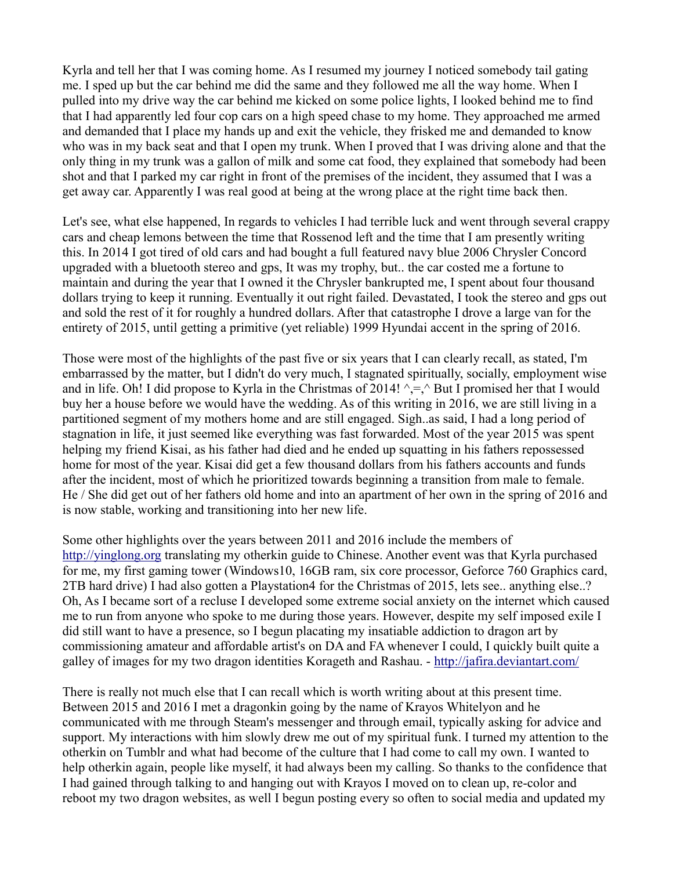Kyrla and tell her that I was coming home. As I resumed my journey I noticed somebody tail gating me. I sped up but the car behind me did the same and they followed me all the way home. When I pulled into my drive way the car behind me kicked on some police lights, I looked behind me to find that I had apparently led four cop cars on a high speed chase to my home. They approached me armed and demanded that I place my hands up and exit the vehicle, they frisked me and demanded to know who was in my back seat and that I open my trunk. When I proved that I was driving alone and that the only thing in my trunk was a gallon of milk and some cat food, they explained that somebody had been shot and that I parked my car right in front of the premises of the incident, they assumed that I was a get away car. Apparently I was real good at being at the wrong place at the right time back then.

Let's see, what else happened, In regards to vehicles I had terrible luck and went through several crappy cars and cheap lemons between the time that Rossenod left and the time that I am presently writing this. In 2014 I got tired of old cars and had bought a full featured navy blue 2006 Chrysler Concord upgraded with a bluetooth stereo and gps, It was my trophy, but.. the car costed me a fortune to maintain and during the year that I owned it the Chrysler bankrupted me, I spent about four thousand dollars trying to keep it running. Eventually it out right failed. Devastated, I took the stereo and gps out and sold the rest of it for roughly a hundred dollars. After that catastrophe I drove a large van for the entirety of 2015, until getting a primitive (yet reliable) 1999 Hyundai accent in the spring of 2016.

Those were most of the highlights of the past five or six years that I can clearly recall, as stated, I'm embarrassed by the matter, but I didn't do very much, I stagnated spiritually, socially, employment wise and in life. Oh! I did propose to Kyrla in the Christmas of 2014!  $\gamma = \gamma$  But I promised her that I would buy her a house before we would have the wedding. As of this writing in 2016, we are still living in a partitioned segment of my mothers home and are still engaged. Sigh..as said, I had a long period of stagnation in life, it just seemed like everything was fast forwarded. Most of the year 2015 was spent helping my friend Kisai, as his father had died and he ended up squatting in his fathers repossessed home for most of the year. Kisai did get a few thousand dollars from his fathers accounts and funds after the incident, most of which he prioritized towards beginning a transition from male to female. He / She did get out of her fathers old home and into an apartment of her own in the spring of 2016 and is now stable, working and transitioning into her new life.

Some other highlights over the years between 2011 and 2016 include the members of [http://yinglong.org](http://yinglong.org/) translating my otherkin guide to Chinese. Another event was that Kyrla purchased for me, my first gaming tower (Windows10, 16GB ram, six core processor, Geforce 760 Graphics card, 2TB hard drive) I had also gotten a Playstation4 for the Christmas of 2015, lets see.. anything else..? Oh, As I became sort of a recluse I developed some extreme social anxiety on the internet which caused me to run from anyone who spoke to me during those years. However, despite my self imposed exile I did still want to have a presence, so I begun placating my insatiable addiction to dragon art by commissioning amateur and affordable artist's on DA and FA whenever I could, I quickly built quite a galley of images for my two dragon identities Korageth and Rashau. -<http://jafira.deviantart.com/>

There is really not much else that I can recall which is worth writing about at this present time. Between 2015 and 2016 I met a dragonkin going by the name of Krayos Whitelyon and he communicated with me through Steam's messenger and through email, typically asking for advice and support. My interactions with him slowly drew me out of my spiritual funk. I turned my attention to the otherkin on Tumblr and what had become of the culture that I had come to call my own. I wanted to help otherkin again, people like myself, it had always been my calling. So thanks to the confidence that I had gained through talking to and hanging out with Krayos I moved on to clean up, re-color and reboot my two dragon websites, as well I begun posting every so often to social media and updated my